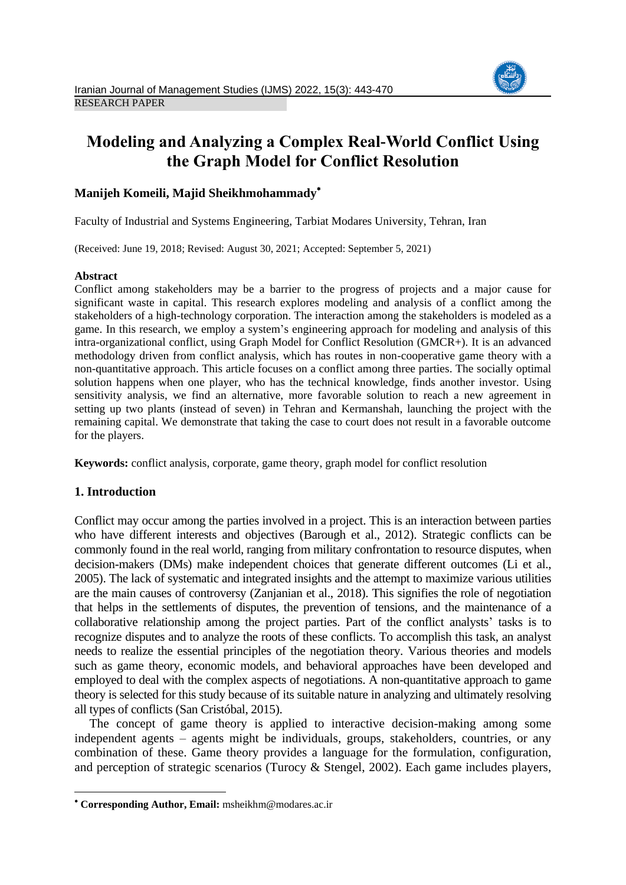

# **Modeling and Analyzing a Complex Real-World Conflict Using the Graph Model for Conflict Resolution**

# **Manijeh Komeili, Majid Sheikhmohammady**

Faculty of Industrial and Systems Engineering, Tarbiat Modares University, Tehran, Iran

(Received: June 19, 2018; Revised: August 30, 2021; Accepted: September 5, 2021)

### **Abstract**

Conflict among stakeholders may be a barrier to the progress of projects and a major cause for significant waste in capital. This research explores modeling and analysis of a conflict among the stakeholders of a high-technology corporation. The interaction among the stakeholders is modeled as a game. In this research, we employ a system's engineering approach for modeling and analysis of this intra-organizational conflict, using Graph Model for Conflict Resolution (GMCR+). It is an advanced methodology driven from conflict analysis, which has routes in non-cooperative game theory with a non-quantitative approach. This article focuses on a conflict among three parties. The socially optimal solution happens when one player, who has the technical knowledge, finds another investor. Using sensitivity analysis, we find an alternative, more favorable solution to reach a new agreement in setting up two plants (instead of seven) in Tehran and Kermanshah, launching the project with the remaining capital. We demonstrate that taking the case to court does not result in a favorable outcome for the players.

**Keywords:** conflict analysis, corporate, game theory, graph model for conflict resolution

# **1. Introduction**

**.** 

Conflict may occur among the parties involved in a project. This is an interaction between parties who have different interests and objectives (Barough et al., 2012). Strategic conflicts can be commonly found in the real world, ranging from military confrontation to resource disputes, when decision-makers (DMs) make independent choices that generate different outcomes (Li et al., 2005). The lack of systematic and integrated insights and the attempt to maximize various utilities are the main causes of controversy (Zanjanian et al., 2018). This signifies the role of negotiation that helps in the settlements of disputes, the prevention of tensions, and the maintenance of a collaborative relationship among the project parties. Part of the conflict analysts' tasks is to recognize disputes and to analyze the roots of these conflicts. To accomplish this task, an analyst needs to realize the essential principles of the negotiation theory. Various theories and models such as game theory, economic models, and behavioral approaches have been developed and employed to deal with the complex aspects of negotiations. A non-quantitative approach to game theory is selected for this study because of its suitable nature in analyzing and ultimately resolving all types of conflicts (San Cristóbal, 2015).

The concept of game theory is applied to interactive decision-making among some independent agents – agents might be individuals, groups, stakeholders, countries, or any combination of these. Game theory provides a language for the formulation, configuration, and perception of strategic scenarios (Turocy & Stengel, 2002). Each game includes players,

**Corresponding Author, Email:** msheikhm@modares.ac.ir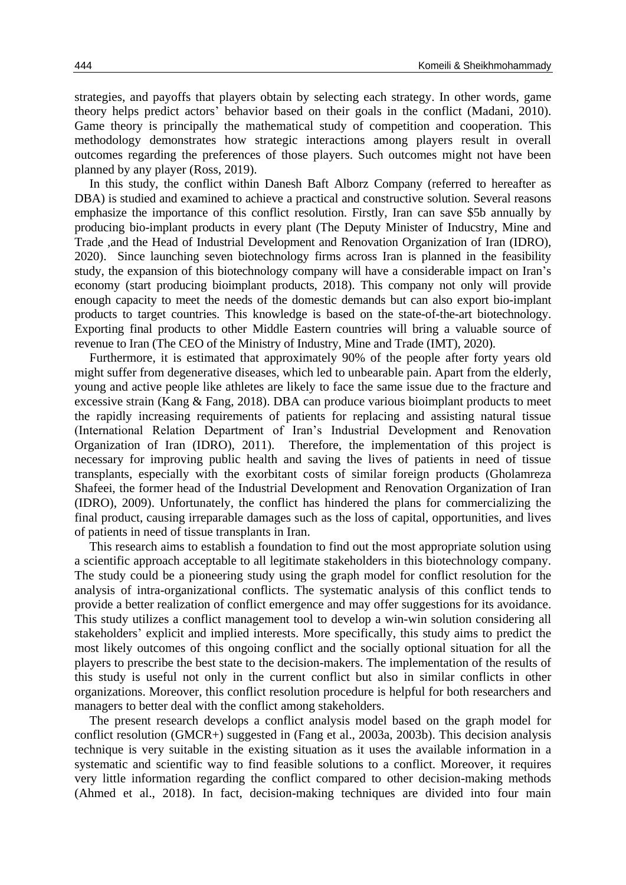strategies, and payoffs that players obtain by selecting each strategy. In other words, game theory helps predict actors' behavior based on their goals in the conflict (Madani, 2010). Game theory is principally the mathematical study of competition and cooperation. This methodology demonstrates how strategic interactions among players result in overall outcomes regarding the preferences of those players. Such outcomes might not have been planned by any player (Ross, 2019).

In this study, the conflict within Danesh Baft Alborz Company (referred to hereafter as DBA) is studied and examined to achieve a practical and constructive solution. Several reasons emphasize the importance of this conflict resolution. Firstly, Iran can save \$5b annually by producing bio-implant products in every plant (The Deputy Minister of Inducstry, Mine and Trade ,and the Head of Industrial Development and Renovation Organization of Iran (IDRO), 2020). Since launching seven biotechnology firms across Iran is planned in the feasibility study, the expansion of this biotechnology company will have a considerable impact on Iran's economy (start producing bioimplant products, 2018). This company not only will provide enough capacity to meet the needs of the domestic demands but can also export bio-implant products to target countries. This knowledge is based on the state-of-the-art biotechnology. Exporting final products to other Middle Eastern countries will bring a valuable source of revenue to Iran (The CEO of the Ministry of Industry, Mine and Trade (IMT), 2020).

Furthermore, it is estimated that approximately 90% of the people after forty years old might suffer from degenerative diseases, which led to unbearable pain. Apart from the elderly, young and active people like athletes are likely to face the same issue due to the fracture and excessive strain (Kang & Fang, 2018). DBA can produce various bioimplant products to meet the rapidly increasing requirements of patients for replacing and assisting natural tissue (International Relation Department of Iran's Industrial Development and Renovation Organization of Iran (IDRO), 2011). Therefore, the implementation of this project is necessary for improving public health and saving the lives of patients in need of tissue transplants, especially with the exorbitant costs of similar foreign products (Gholamreza Shafeei, the former head of the Industrial Development and Renovation Organization of Iran (IDRO), 2009). Unfortunately, the conflict has hindered the plans for commercializing the final product, causing irreparable damages such as the loss of capital, opportunities, and lives of patients in need of tissue transplants in Iran.

This research aims to establish a foundation to find out the most appropriate solution using a scientific approach acceptable to all legitimate stakeholders in this biotechnology company. The study could be a pioneering study using the graph model for conflict resolution for the analysis of intra-organizational conflicts. The systematic analysis of this conflict tends to provide a better realization of conflict emergence and may offer suggestions for its avoidance. This study utilizes a conflict management tool to develop a win-win solution considering all stakeholders' explicit and implied interests. More specifically, this study aims to predict the most likely outcomes of this ongoing conflict and the socially optional situation for all the players to prescribe the best state to the decision-makers. The implementation of the results of this study is useful not only in the current conflict but also in similar conflicts in other organizations. Moreover, this conflict resolution procedure is helpful for both researchers and managers to better deal with the conflict among stakeholders.

The present research develops a conflict analysis model based on the graph model for conflict resolution (GMCR+) suggested in (Fang et al., 2003a, 2003b). This decision analysis technique is very suitable in the existing situation as it uses the available information in a systematic and scientific way to find feasible solutions to a conflict. Moreover, it requires very little information regarding the conflict compared to other decision-making methods (Ahmed et al., 2018). In fact, decision-making techniques are divided into four main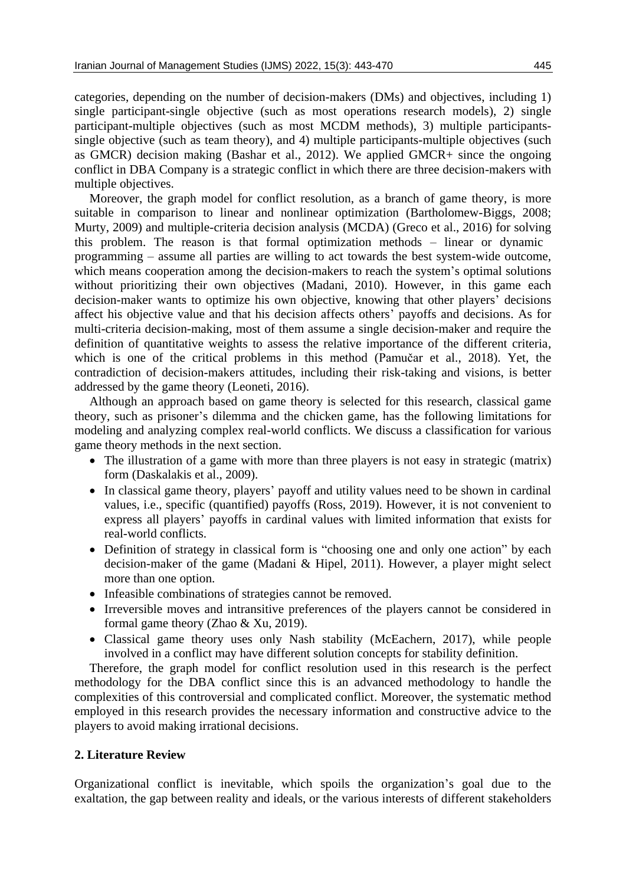categories, depending on the number of decision-makers (DMs) and objectives, including 1) single participant-single objective (such as most operations research models), 2) single participant-multiple objectives (such as most MCDM methods), 3) multiple participantssingle objective (such as team theory), and 4) multiple participants-multiple objectives (such as GMCR) decision making (Bashar et al., 2012). We applied GMCR+ since the ongoing conflict in DBA Company is a strategic conflict in which there are three decision-makers with multiple objectives.

Moreover, the graph model for conflict resolution, as a branch of game theory, is more suitable in comparison to linear and nonlinear optimization (Bartholomew-Biggs, 2008; Murty, 2009) and multiple-criteria decision analysis (MCDA) (Greco et al., 2016) for solving this problem. The reason is that formal optimization methods – linear or dynamic programming – assume all parties are willing to act towards the best system-wide outcome, which means cooperation among the decision-makers to reach the system's optimal solutions without prioritizing their own objectives (Madani, 2010). However, in this game each decision-maker wants to optimize his own objective, knowing that other players' decisions affect his objective value and that his decision affects others' payoffs and decisions. As for multi-criteria decision-making, most of them assume a single decision-maker and require the definition of quantitative weights to assess the relative importance of the different criteria, which is one of the critical problems in this method (Pamučar et al., 2018). Yet, the contradiction of decision-makers attitudes, including their risk-taking and visions, is better addressed by the game theory (Leoneti, 2016).

Although an approach based on game theory is selected for this research, classical game theory, such as prisoner's dilemma and the chicken game, has the following limitations for modeling and analyzing complex real-world conflicts. We discuss a classification for various game theory methods in the next section.

- The illustration of a game with more than three players is not easy in strategic (matrix) form (Daskalakis et al., 2009).
- In classical game theory, players' payoff and utility values need to be shown in cardinal values, i.e., specific (quantified) payoffs (Ross, 2019). However, it is not convenient to express all players' payoffs in cardinal values with limited information that exists for real-world conflicts.
- Definition of strategy in classical form is "choosing one and only one action" by each decision-maker of the game (Madani & Hipel, 2011). However, a player might select more than one option.
- Infeasible combinations of strategies cannot be removed.
- Irreversible moves and intransitive preferences of the players cannot be considered in formal game theory (Zhao & Xu, 2019).
- Classical game theory uses only Nash stability (McEachern, 2017), while people involved in a conflict may have different solution concepts for stability definition.

Therefore, the graph model for conflict resolution used in this research is the perfect methodology for the DBA conflict since this is an advanced methodology to handle the complexities of this controversial and complicated conflict. Moreover, the systematic method employed in this research provides the necessary information and constructive advice to the players to avoid making irrational decisions.

# **2. Literature Review**

Organizational conflict is inevitable, which spoils the organization's goal due to the exaltation, the gap between reality and ideals, or the various interests of different stakeholders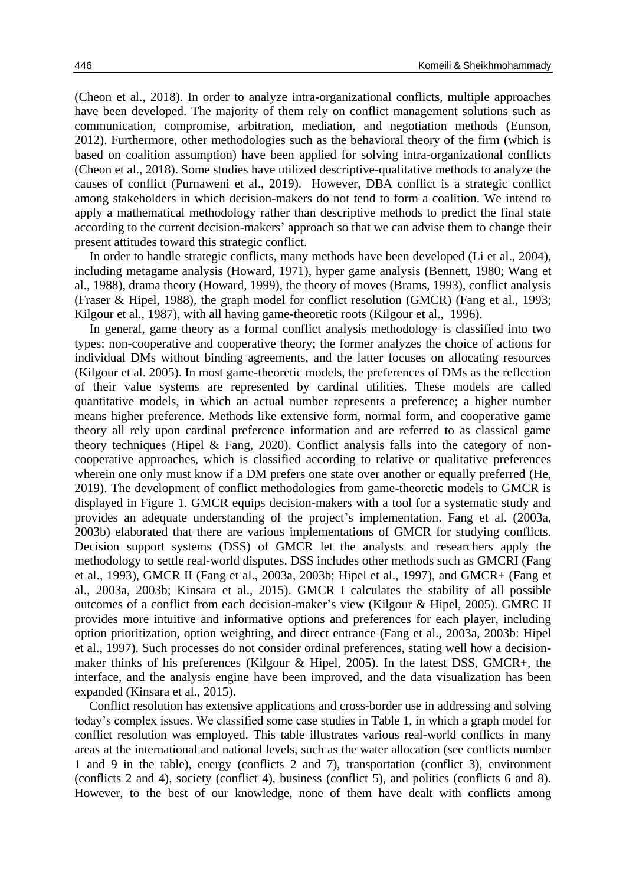(Cheon et al., 2018). In order to analyze intra-organizational conflicts, multiple approaches have been developed. The majority of them rely on conflict management solutions such as communication, compromise, arbitration, mediation, and negotiation methods (Eunson, 2012). Furthermore, other methodologies such as the behavioral theory of the firm (which is based on coalition assumption) have been applied for solving intra-organizational conflicts (Cheon et al., 2018). Some studies have utilized descriptive-qualitative methods to analyze the causes of conflict (Purnaweni et al., 2019). However, DBA conflict is a strategic conflict among stakeholders in which decision-makers do not tend to form a coalition. We intend to apply a mathematical methodology rather than descriptive methods to predict the final state according to the current decision-makers' approach so that we can advise them to change their present attitudes toward this strategic conflict.

In order to handle strategic conflicts, many methods have been developed (Li et al., 2004), including metagame analysis (Howard, 1971), hyper game analysis (Bennett, 1980; Wang et al., 1988), drama theory (Howard, 1999), the theory of moves (Brams, 1993), conflict analysis (Fraser & Hipel, 1988), the graph model for conflict resolution (GMCR) (Fang et al., 1993; Kilgour et al., 1987), with all having game-theoretic roots (Kilgour et al., 1996).

In general, game theory as a formal conflict analysis methodology is classified into two types: non-cooperative and cooperative theory; the former analyzes the choice of actions for individual DMs without binding agreements, and the latter focuses on allocating resources (Kilgour et al. 2005). In most game-theoretic models, the preferences of DMs as the reflection of their value systems are represented by cardinal utilities. These models are called quantitative models, in which an actual number represents a preference; a higher number means higher preference. Methods like extensive form, normal form, and cooperative game theory all rely upon cardinal preference information and are referred to as classical game theory techniques (Hipel  $\&$  Fang, 2020). Conflict analysis falls into the category of noncooperative approaches, which is classified according to relative or qualitative preferences wherein one only must know if a DM prefers one state over another or equally preferred (He, 2019). The development of conflict methodologies from game-theoretic models to GMCR is displayed in Figure 1. GMCR equips decision-makers with a tool for a systematic study and provides an adequate understanding of the project's implementation. Fang et al. (2003a, 2003b) elaborated that there are various implementations of GMCR for studying conflicts. Decision support systems (DSS) of GMCR let the analysts and researchers apply the methodology to settle real-world disputes. DSS includes other methods such as GMCRI (Fang et al., 1993), GMCR II (Fang et al., 2003a, 2003b; Hipel et al., 1997), and GMCR+ (Fang et al., 2003a, 2003b; Kinsara et al., 2015). GMCR I calculates the stability of all possible outcomes of a conflict from each decision-maker's view (Kilgour & Hipel, 2005). GMRC II provides more intuitive and informative options and preferences for each player, including option prioritization, option weighting, and direct entrance (Fang et al., 2003a, 2003b: Hipel et al., 1997). Such processes do not consider ordinal preferences, stating well how a decisionmaker thinks of his preferences (Kilgour & Hipel, 2005). In the latest DSS, GMCR+, the interface, and the analysis engine have been improved, and the data visualization has been expanded (Kinsara et al., 2015).

Conflict resolution has extensive applications and cross-border use in addressing and solving today's complex issues. We classified some case studies in Table 1, in which a graph model for conflict resolution was employed. This table illustrates various real-world conflicts in many areas at the international and national levels, such as the water allocation (see conflicts number 1 and 9 in the table), energy (conflicts 2 and 7), transportation (conflict 3), environment (conflicts 2 and 4), society (conflict 4), business (conflict 5), and politics (conflicts 6 and 8). However, to the best of our knowledge, none of them have dealt with conflicts among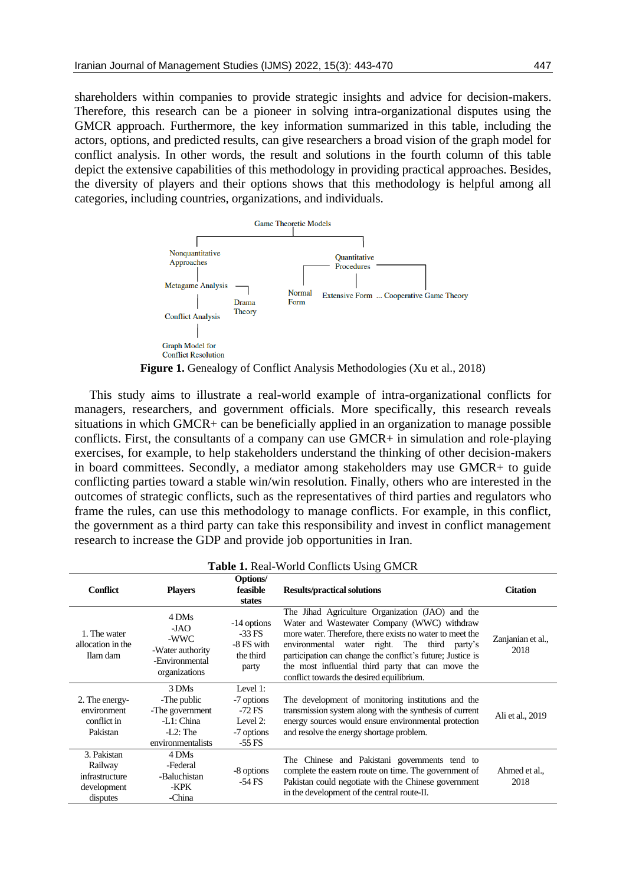shareholders within companies to provide strategic insights and advice for decision-makers. Therefore, this research can be a pioneer in solving intra-organizational disputes using the GMCR approach. Furthermore, the key information summarized in this table, including the actors, options, and predicted results, can give researchers a broad vision of the graph model for conflict analysis. In other words, the result and solutions in the fourth column of this table depict the extensive capabilities of this methodology in providing practical approaches. Besides, the diversity of players and their options shows that this methodology is helpful among all categories, including countries, organizations, and individuals.



This study aims to illustrate a real-world example of intra-organizational conflicts for managers, researchers, and government officials. More specifically, this research reveals situations in which GMCR+ can be beneficially applied in an organization to manage possible conflicts. First, the consultants of a company can use GMCR+ in simulation and role-playing exercises, for example, to help stakeholders understand the thinking of other decision-makers in board committees. Secondly, a mediator among stakeholders may use GMCR+ to guide conflicting parties toward a stable win/win resolution. Finally, others who are interested in the outcomes of strategic conflicts, such as the representatives of third parties and regulators who frame the rules, can use this methodology to manage conflicts. For example, in this conflict, the government as a third party can take this responsibility and invest in conflict management research to increase the GDP and provide job opportunities in Iran.

|                                                                     |                                                                                           |                                                                          | <b>Table 1.</b> Real-World Conflicts Using GMCR                                                                                                                                                                                                                                                                                                                              |                           |
|---------------------------------------------------------------------|-------------------------------------------------------------------------------------------|--------------------------------------------------------------------------|------------------------------------------------------------------------------------------------------------------------------------------------------------------------------------------------------------------------------------------------------------------------------------------------------------------------------------------------------------------------------|---------------------------|
| <b>Conflict</b>                                                     | <b>Players</b>                                                                            | Options/<br>feasible<br>states                                           | <b>Results/practical solutions</b>                                                                                                                                                                                                                                                                                                                                           | <b>Citation</b>           |
| 1. The water<br>allocation in the<br>Ilam dam                       | 4 DMs<br>-JAO<br>-WWC<br>-Water authority<br>-Environmental<br>organizations              | -14 options<br>$-33$ FS<br>-8 FS with<br>the third<br>party              | The Jihad Agriculture Organization (JAO) and the<br>Water and Wastewater Company (WWC) withdraw<br>more water. Therefore, there exists no water to meet the<br>environmental water right. The third party's<br>participation can change the conflict's future; Justice is<br>the most influential third party that can move the<br>conflict towards the desired equilibrium. | Zanjanian et al.,<br>2018 |
| 2. The energy-<br>environment<br>conflict in<br>Pakistan            | 3 DMs<br>-The public<br>-The government<br>-L1: China<br>$-L2$ : The<br>environmentalists | Level 1:<br>-7 options<br>$-72$ FS<br>Level 2:<br>-7 options<br>$-55$ FS | The development of monitoring institutions and the<br>transmission system along with the synthesis of current<br>energy sources would ensure environmental protection<br>and resolve the energy shortage problem.                                                                                                                                                            | Ali et al., 2019          |
| 3. Pakistan<br>Railway<br>infrastructure<br>development<br>disputes | 4 DMs<br>-Federal<br>-Baluchistan<br>-KPK<br>-China                                       | -8 options<br>$-54$ FS                                                   | The Chinese and Pakistani governments tend to<br>complete the eastern route on time. The government of<br>Pakistan could negotiate with the Chinese government<br>in the development of the central route-II.                                                                                                                                                                | Ahmed et al.,<br>2018     |

|  | Table 1. Real-World Conflicts Using GMCR |  |  |  |
|--|------------------------------------------|--|--|--|
|--|------------------------------------------|--|--|--|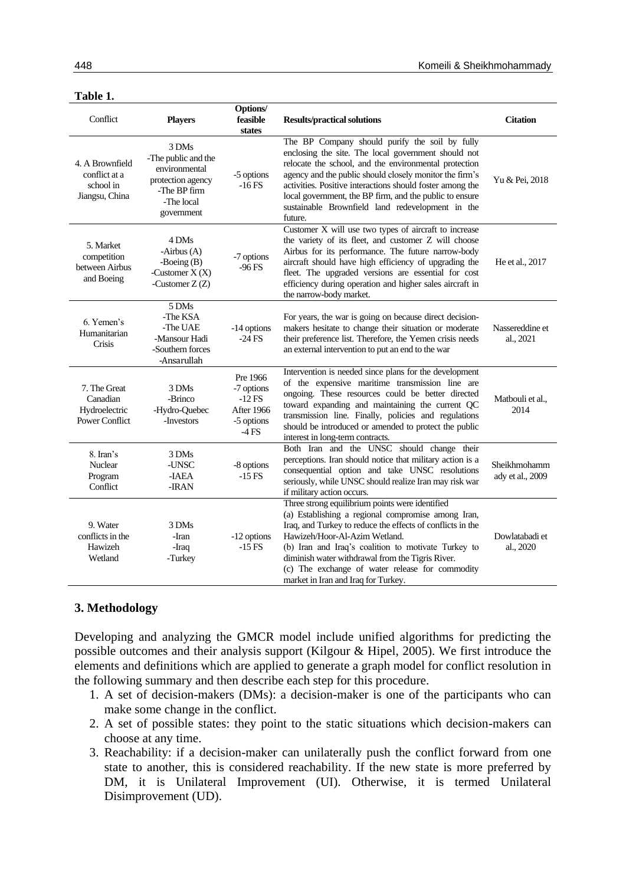| anı<br>I |  |
|----------|--|
|          |  |

| Conflict                                                           | <b>Players</b>                                                                                                 | Options/<br>feasible<br>states                                            | <b>Results/practical solutions</b>                                                                                                                                                                                                                                                                                                                                                                               | <b>Citation</b>                  |
|--------------------------------------------------------------------|----------------------------------------------------------------------------------------------------------------|---------------------------------------------------------------------------|------------------------------------------------------------------------------------------------------------------------------------------------------------------------------------------------------------------------------------------------------------------------------------------------------------------------------------------------------------------------------------------------------------------|----------------------------------|
| 4. A Brownfield<br>conflict at a<br>school in<br>Jiangsu, China    | 3 DMs<br>-The public and the<br>environmental<br>protection agency<br>-The BP firm<br>-The local<br>government | -5 options<br>$-16$ FS                                                    | The BP Company should purify the soil by fully<br>enclosing the site. The local government should not<br>relocate the school, and the environmental protection<br>agency and the public should closely monitor the firm's<br>activities. Positive interactions should foster among the<br>local government, the BP firm, and the public to ensure<br>sustainable Brownfield land redevelopment in the<br>future. | Yu & Pei, 2018                   |
| 5. Market<br>competition<br>between Airbus<br>and Boeing           | 4 DMs<br>-Airbus (A)<br>-Boeing $(B)$<br>-Customer $X(X)$<br>-Customer $Z(Z)$                                  | -7 options<br>$-96$ FS                                                    | Customer X will use two types of aircraft to increase<br>the variety of its fleet, and customer Z will choose<br>Airbus for its performance. The future narrow-body<br>aircraft should have high efficiency of upgrading the<br>fleet. The upgraded versions are essential for cost<br>efficiency during operation and higher sales aircraft in<br>the narrow-body market.                                       | He et al., 2017                  |
| 6. Yemen's<br>Humanitarian<br>Crisis                               | 5 DMs<br>-The KSA<br>-The UAE<br>-Mansour Hadi<br>-Southern forces<br>-Ansarullah                              | -14 options<br>$-24$ FS                                                   | For years, the war is going on because direct decision-<br>makers hesitate to change their situation or moderate<br>their preference list. Therefore, the Yemen crisis needs<br>an external intervention to put an end to the war                                                                                                                                                                                | Nassereddine et<br>al., 2021     |
| 7. The Great<br>Canadian<br>Hydroelectric<br><b>Power Conflict</b> | 3 DMs<br>-Brinco<br>-Hydro-Quebec<br>-Investors                                                                | Pre 1966<br>-7 options<br>$-12$ FS<br>After 1966<br>-5 options<br>$-4$ FS | Intervention is needed since plans for the development<br>of the expensive maritime transmission line are<br>ongoing. These resources could be better directed<br>toward expanding and maintaining the current QC<br>transmission line. Finally, policies and regulations<br>should be introduced or amended to protect the public<br>interest in long-term contracts.                                           | Matbouli et al.,<br>2014         |
| 8. Iran's<br>Nuclear<br>Program<br>Conflict                        | 3 DMs<br>-UNSC<br>-IAEA<br>-IRAN                                                                               | -8 options<br>$-15$ FS                                                    | Both Iran and the UNSC should change their<br>perceptions. Iran should notice that military action is a<br>consequential option and take UNSC resolutions<br>seriously, while UNSC should realize Iran may risk war<br>if military action occurs.                                                                                                                                                                | Sheikhmohamm<br>ady et al., 2009 |
| 9. Water<br>conflicts in the<br>Hawizeh<br>Wetland                 | 3 DMs<br>-Iran<br>-Iraq<br>-Turkey                                                                             | -12 options<br>$-15$ FS                                                   | Three strong equilibrium points were identified<br>(a) Establishing a regional compromise among Iran,<br>Iraq, and Turkey to reduce the effects of conflicts in the<br>Hawizeh/Hoor-Al-Azim Wetland.<br>(b) Iran and Iraq's coalition to motivate Turkey to<br>diminish water withdrawal from the Tigris River.<br>(c) The exchange of water release for commodity<br>market in Iran and Iraq for Turkey.        | Dowlatabadi et<br>al., 2020      |

### **3. Methodology**

Developing and analyzing the GMCR model include unified algorithms for predicting the possible outcomes and their analysis support (Kilgour & Hipel, 2005). We first introduce the elements and definitions which are applied to generate a graph model for conflict resolution in the following summary and then describe each step for this procedure.

- 1. A set of decision-makers (DMs): a decision-maker is one of the participants who can make some change in the conflict.
- 2. A set of possible states: they point to the static situations which decision-makers can choose at any time.
- 3. Reachability: if a decision-maker can unilaterally push the conflict forward from one state to another, this is considered reachability. If the new state is more preferred by DM, it is Unilateral Improvement (UI). Otherwise, it is termed Unilateral Disimprovement (UD).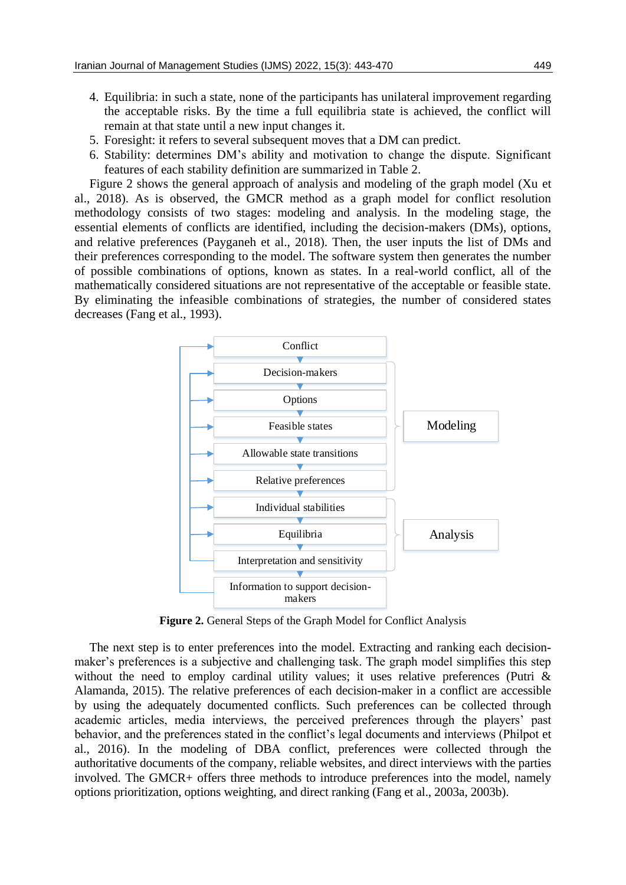- 4. Equilibria: in such a state, none of the participants has unilateral improvement regarding the acceptable risks. By the time a full equilibria state is achieved, the conflict will remain at that state until a new input changes it.
- 5. Foresight: it refers to several subsequent moves that a DM can predict.
- 6. Stability: determines DM's ability and motivation to change the dispute. Significant features of each stability definition are summarized in Table 2.

Figure 2 shows the general approach of analysis and modeling of the graph model (Xu et al., 2018). As is observed, the GMCR method as a graph model for conflict resolution methodology consists of two stages: modeling and analysis. In the modeling stage, the essential elements of conflicts are identified, including the decision-makers (DMs), options, and relative preferences (Payganeh et al., 2018). Then, the user inputs the list of DMs and their preferences corresponding to the model. The software system then generates the number of possible combinations of options, known as states. In a real-world conflict, all of the mathematically considered situations are not representative of the acceptable or feasible state. By eliminating the infeasible combinations of strategies, the number of considered states decreases (Fang et al., 1993).



**Figure 2.** General Steps of the Graph Model for Conflict Analysis

The next step is to enter preferences into the model. Extracting and ranking each decisionmaker's preferences is a subjective and challenging task. The graph model simplifies this step without the need to employ cardinal utility values; it uses relative preferences (Putri & Alamanda, 2015). The relative preferences of each decision-maker in a conflict are accessible by using the adequately documented conflicts. Such preferences can be collected through academic articles, media interviews, the perceived preferences through the players' past behavior, and the preferences stated in the conflict's legal documents and interviews (Philpot et al., 2016). In the modeling of DBA conflict, preferences were collected through the authoritative documents of the company, reliable websites, and direct interviews with the parties involved. The GMCR+ offers three methods to introduce preferences into the model, namely options prioritization, options weighting, and direct ranking (Fang et al., 2003a, 2003b).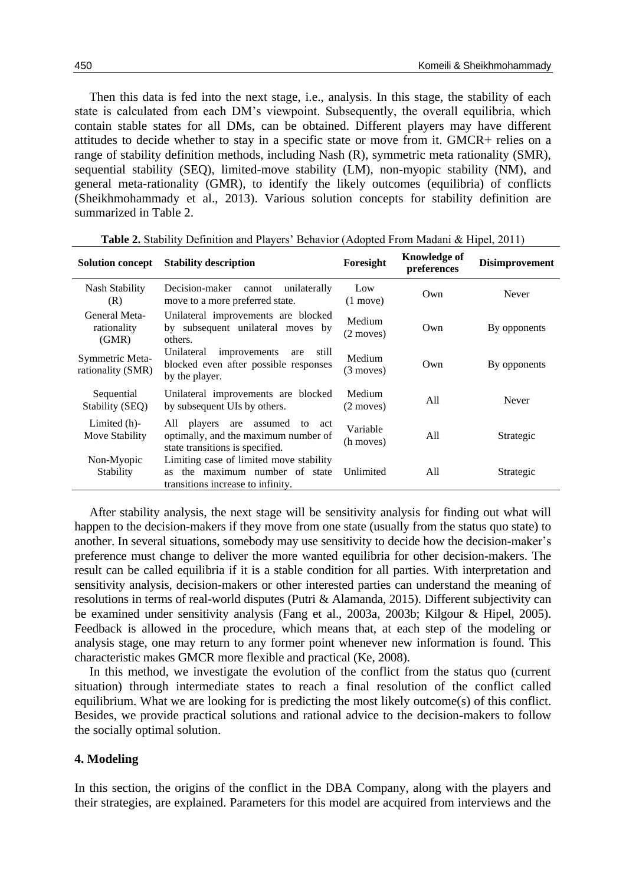Then this data is fed into the next stage, i.e., analysis. In this stage, the stability of each state is calculated from each DM's viewpoint. Subsequently, the overall equilibria, which contain stable states for all DMs, can be obtained. Different players may have different attitudes to decide whether to stay in a specific state or move from it. GMCR+ relies on a range of stability definition methods, including Nash (R), symmetric meta rationality (SMR), sequential stability (SEQ), limited-move stability (LM), non-myopic stability (NM), and general meta-rationality (GMR), to identify the likely outcomes (equilibria) of conflicts (Sheikhmohammady et al., 2013). Various solution concepts for stability definition are summarized in Table 2.

| <b>Solution concept</b>               | <b>Stability description</b>                                                                                       | Foresight                 | Knowledge of<br>preferences | <b>Disimprovement</b> |
|---------------------------------------|--------------------------------------------------------------------------------------------------------------------|---------------------------|-----------------------------|-----------------------|
| Nash Stability<br>(R)                 | Decision-maker<br>unilaterally<br>cannot<br>move to a more preferred state.                                        | Low<br>$(1 \text{ move})$ | Own                         | Never                 |
| General Meta-<br>rationality<br>(GMR) | Unilateral improvements are blocked<br>by subsequent unilateral moves by<br>others.                                | Medium<br>$(2$ moves)     | Own                         | By opponents          |
| Symmetric Meta-<br>rationality (SMR)  | Unilateral<br>improvements<br>still<br>are<br>blocked even after possible responses<br>by the player.              | Medium<br>$(3$ moves)     | Own                         | By opponents          |
| Sequential<br>Stability (SEQ)         | Unilateral improvements are blocked<br>by subsequent UIs by others.                                                | Medium<br>$(2$ moves)     | All                         | Never                 |
| Limited (h)-<br>Move Stability        | players<br>are assumed<br>to act<br>All<br>optimally, and the maximum number of<br>state transitions is specified. | Variable<br>(h moves)     | All                         | Strategic             |
| Non-Myopic<br>Stability               | Limiting case of limited move stability<br>the maximum number of state<br>as<br>transitions increase to infinity.  | Unlimited                 | All                         | Strategic             |

**Table 2.** Stability Definition and Players' Behavior (Adopted From Madani & Hipel, 2011)

After stability analysis, the next stage will be sensitivity analysis for finding out what will happen to the decision-makers if they move from one state (usually from the status quo state) to another. In several situations, somebody may use sensitivity to decide how the decision-maker's preference must change to deliver the more wanted equilibria for other decision-makers. The result can be called equilibria if it is a stable condition for all parties. With interpretation and sensitivity analysis, decision-makers or other interested parties can understand the meaning of resolutions in terms of real-world disputes (Putri & Alamanda, 2015). Different subjectivity can be examined under sensitivity analysis (Fang et al., 2003a, 2003b; Kilgour & Hipel, 2005). Feedback is allowed in the procedure, which means that, at each step of the modeling or analysis stage, one may return to any former point whenever new information is found. This characteristic makes GMCR more flexible and practical (Ke, 2008).

In this method, we investigate the evolution of the conflict from the status quo (current situation) through intermediate states to reach a final resolution of the conflict called equilibrium. What we are looking for is predicting the most likely outcome(s) of this conflict. Besides, we provide practical solutions and rational advice to the decision-makers to follow the socially optimal solution.

### **4. Modeling**

In this section, the origins of the conflict in the DBA Company, along with the players and their strategies, are explained. Parameters for this model are acquired from interviews and the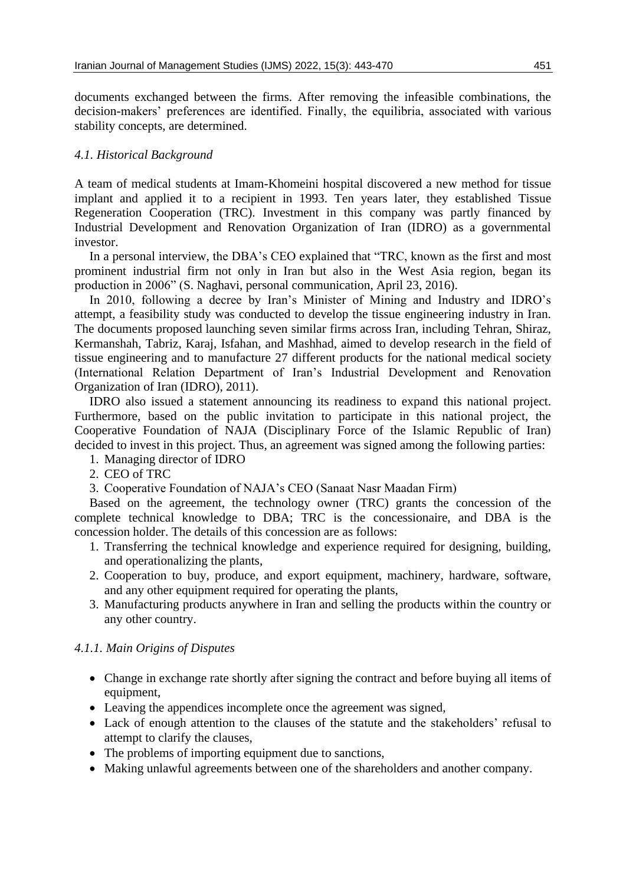documents exchanged between the firms. After removing the infeasible combinations, the decision-makers' preferences are identified. Finally, the equilibria, associated with various stability concepts, are determined.

## *4.1. Historical Background*

A team of medical students at Imam-Khomeini hospital discovered a new method for tissue implant and applied it to a recipient in 1993. Ten years later, they established Tissue Regeneration Cooperation (TRC). Investment in this company was partly financed by Industrial Development and Renovation Organization of Iran (IDRO) as a governmental investor.

In a personal interview, the DBA's CEO explained that "TRC, known as the first and most prominent industrial firm not only in Iran but also in the West Asia region, began its production in 2006" (S. Naghavi, personal communication, April 23, 2016).

In 2010, following a decree by Iran's Minister of Mining and Industry and IDRO's attempt, a feasibility study was conducted to develop the tissue engineering industry in Iran. The documents proposed launching seven similar firms across Iran, including Tehran, Shiraz, Kermanshah, Tabriz, Karaj, Isfahan, and Mashhad, aimed to develop research in the field of tissue engineering and to manufacture 27 different products for the national medical society (International Relation Department of Iran's Industrial Development and Renovation Organization of Iran (IDRO), 2011).

IDRO also issued a statement announcing its readiness to expand this national project. Furthermore, based on the public invitation to participate in this national project, the Cooperative Foundation of NAJA (Disciplinary Force of the Islamic Republic of Iran) decided to invest in this project. Thus, an agreement was signed among the following parties:

- 1. Managing director of IDRO
- 2. CEO of TRC
- 3. Cooperative Foundation of NAJA's CEO (Sanaat Nasr Maadan Firm)

Based on the agreement, the technology owner (TRC) grants the concession of the complete technical knowledge to DBA; TRC is the concessionaire, and DBA is the concession holder. The details of this concession are as follows:

- 1. Transferring the technical knowledge and experience required for designing, building, and operationalizing the plants,
- 2. Cooperation to buy, produce, and export equipment, machinery, hardware, software, and any other equipment required for operating the plants,
- 3. Manufacturing products anywhere in Iran and selling the products within the country or any other country.

### *4.1.1. Main Origins of Disputes*

- Change in exchange rate shortly after signing the contract and before buying all items of equipment,
- Leaving the appendices incomplete once the agreement was signed,
- Lack of enough attention to the clauses of the statute and the stakeholders' refusal to attempt to clarify the clauses,
- The problems of importing equipment due to sanctions,
- Making unlawful agreements between one of the shareholders and another company.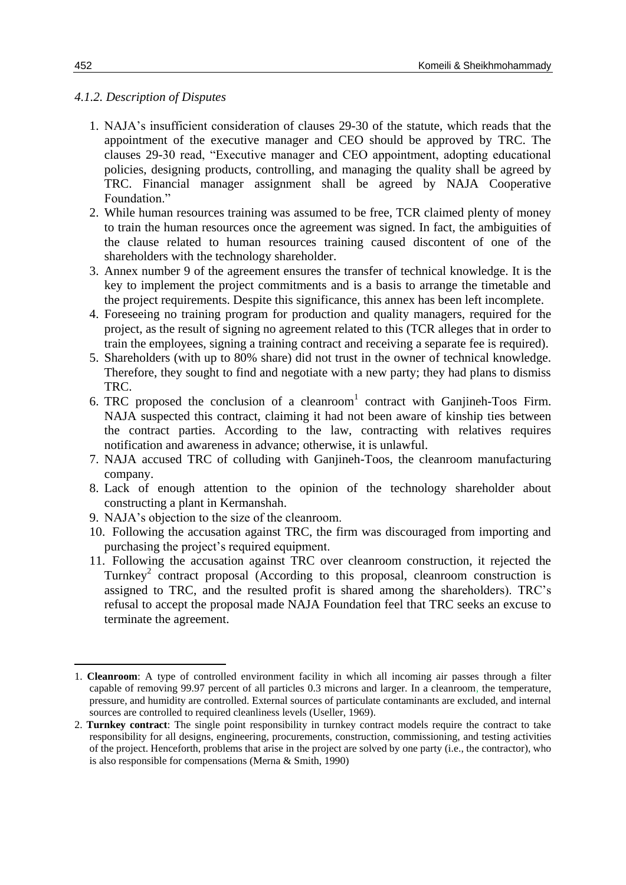### *4.1.2. Description of Disputes*

- 1. NAJA's insufficient consideration of clauses 29-30 of the statute, which reads that the appointment of the executive manager and CEO should be approved by TRC. The clauses 29-30 read, "Executive manager and CEO appointment, adopting educational policies, designing products, controlling, and managing the quality shall be agreed by TRC. Financial manager assignment shall be agreed by NAJA Cooperative Foundation."
- 2. While human resources training was assumed to be free, TCR claimed plenty of money to train the human resources once the agreement was signed. In fact, the ambiguities of the clause related to human resources training caused discontent of one of the shareholders with the technology shareholder.
- 3. Annex number 9 of the agreement ensures the transfer of technical knowledge. It is the key to implement the project commitments and is a basis to arrange the timetable and the project requirements. Despite this significance, this annex has been left incomplete.
- 4. Foreseeing no training program for production and quality managers, required for the project, as the result of signing no agreement related to this (TCR alleges that in order to train the employees, signing a training contract and receiving a separate fee is required).
- 5. Shareholders (with up to 80% share) did not trust in the owner of technical knowledge. Therefore, they sought to find and negotiate with a new party; they had plans to dismiss TRC.
- 6. TRC proposed the conclusion of a cleanroom<sup>1</sup> contract with Ganjineh-Toos Firm. NAJA suspected this contract, claiming it had not been aware of kinship ties between the contract parties. According to the law, contracting with relatives requires notification and awareness in advance; otherwise, it is unlawful.
- 7. NAJA accused TRC of colluding with Ganjineh-Toos, the cleanroom manufacturing company.
- 8. Lack of enough attention to the opinion of the technology shareholder about constructing a plant in Kermanshah.
- 9. NAJA's objection to the size of the cleanroom.
- 10. Following the accusation against TRC, the firm was discouraged from importing and purchasing the project's required equipment.
- 11. Following the accusation against TRC over cleanroom construction, it rejected the Turnkey<sup>2</sup> contract proposal (According to this proposal, cleanroom construction is assigned to TRC, and the resulted profit is shared among the shareholders). TRC's refusal to accept the proposal made NAJA Foundation feel that TRC seeks an excuse to terminate the agreement.

**.** 

<sup>1.</sup> **Cleanroom**: A type of controlled environment facility in which all incoming air passes through a filter capable of removing 99.97 percent of all particles 0.3 microns and larger. In a cleanroom, the temperature, pressure, and humidity are controlled. External sources of particulate contaminants are excluded, and internal sources are controlled to required cleanliness levels (Useller, 1969).

<sup>2.</sup> **Turnkey contract**: The single point responsibility in turnkey contract models require the contract to take responsibility for all designs, engineering, procurements, construction, commissioning, and testing activities of the project. Henceforth, problems that arise in the project are solved by one party (i.e., the contractor), who is also responsible for compensations (Merna & Smith, 1990)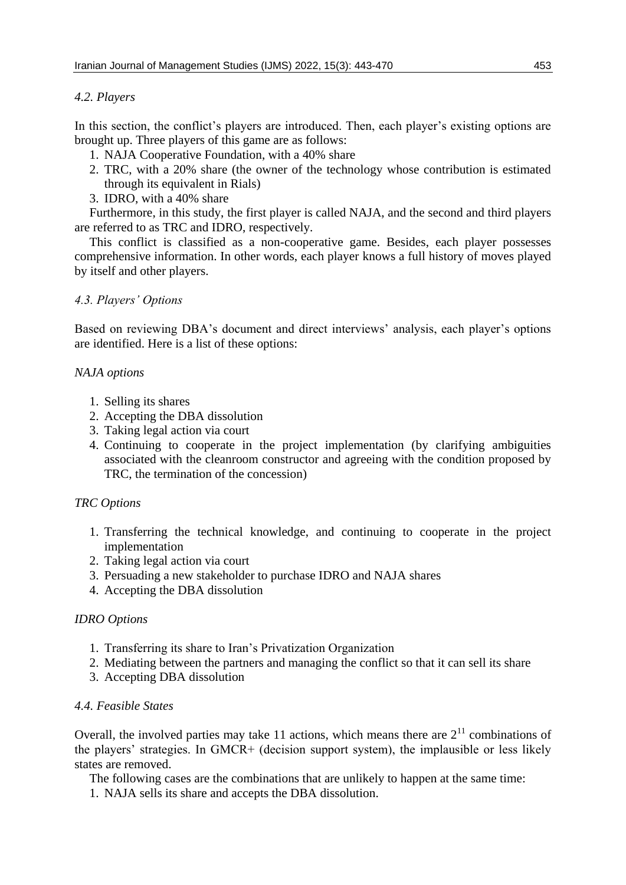# *4.2. Players*

In this section, the conflict's players are introduced. Then, each player's existing options are brought up. Three players of this game are as follows:

- 1. NAJA Cooperative Foundation, with a 40% share
- 2. TRC, with a 20% share (the owner of the technology whose contribution is estimated through its equivalent in Rials)
- 3. IDRO, with a 40% share

Furthermore, in this study, the first player is called NAJA, and the second and third players are referred to as TRC and IDRO, respectively.

This conflict is classified as a non-cooperative game. Besides, each player possesses comprehensive information. In other words, each player knows a full history of moves played by itself and other players.

# *4.3. Players' Options*

Based on reviewing DBA's document and direct interviews' analysis, each player's options are identified. Here is a list of these options:

# *NAJA options*

- 1. Selling its shares
- 2. Accepting the DBA dissolution
- 3. Taking legal action via court
- 4. Continuing to cooperate in the project implementation (by clarifying ambiguities associated with the cleanroom constructor and agreeing with the condition proposed by TRC, the termination of the concession)

# *TRC Options*

- 1. Transferring the technical knowledge, and continuing to cooperate in the project implementation
- 2. Taking legal action via court
- 3. Persuading a new stakeholder to purchase IDRO and NAJA shares
- 4. Accepting the DBA dissolution

# *IDRO Options*

- 1. Transferring its share to Iran's Privatization Organization
- 2. Mediating between the partners and managing the conflict so that it can sell its share
- 3. Accepting DBA dissolution

# *4.4. Feasible States*

Overall, the involved parties may take 11 actions, which means there are  $2<sup>11</sup>$  combinations of the players' strategies. In GMCR+ (decision support system), the implausible or less likely states are removed.

The following cases are the combinations that are unlikely to happen at the same time:

1. NAJA sells its share and accepts the DBA dissolution.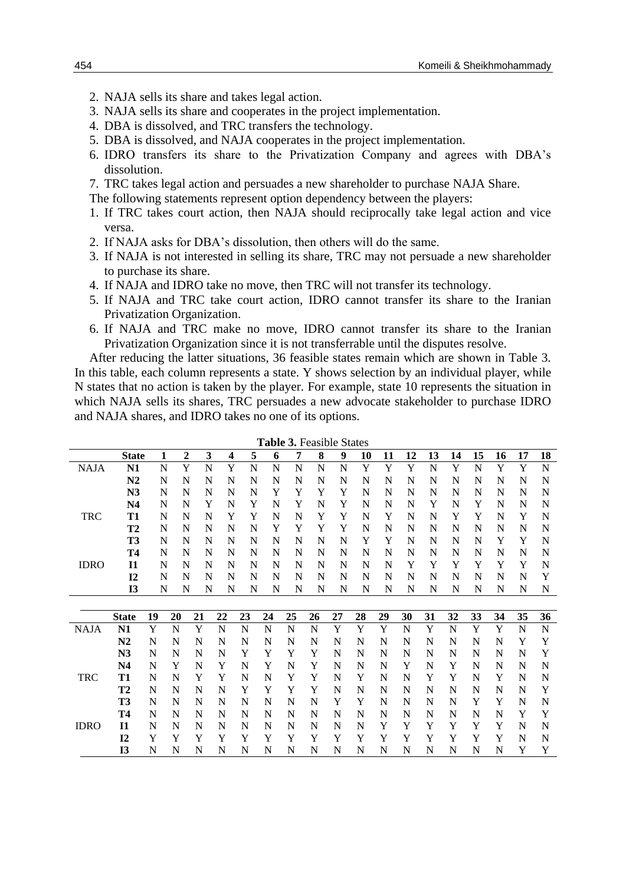- 2. NAJA sells its share and takes legal action.
- 3. NAJA sells its share and cooperates in the project implementation.
- 4. DBA is dissolved, and TRC transfers the technology.
- 5. DBA is dissolved, and NAJA cooperates in the project implementation.
- 6. IDRO transfers its share to the Privatization Company and agrees with DBA's dissolution.
- 7. TRC takes legal action and persuades a new shareholder to purchase NAJA Share.
- The following statements represent option dependency between the players:
- 1. If TRC takes court action, then NAJA should reciprocally take legal action and vice versa.
- 2. If NAJA asks for DBA's dissolution, then others will do the same.
- 3. If NAJA is not interested in selling its share, TRC may not persuade a new shareholder to purchase its share.
- 4. If NAJA and IDRO take no move, then TRC will not transfer its technology.
- 5. If NAJA and TRC take court action, IDRO cannot transfer its share to the Iranian Privatization Organization.
- 6. If NAJA and TRC make no move, IDRO cannot transfer its share to the Iranian Privatization Organization since it is not transferrable until the disputes resolve.

After reducing the latter situations, 36 feasible states remain which are shown in Table 3. In this table, each column represents a state. Y shows selection by an individual player, while N states that no action is taken by the player. For example, state 10 represents the situation in which NAJA sells its shares, TRC persuades a new advocate stakeholder to purchase IDRO and NAJA shares, and IDRO takes no one of its options.

|             | <b>State</b>   | 1  | 2  | 3  | 4  | 5  | 6  | 7  | 8  | 9  | 10 | 11 | 12 | 13          | 14 | 15 | 16 | 17          | 18          |
|-------------|----------------|----|----|----|----|----|----|----|----|----|----|----|----|-------------|----|----|----|-------------|-------------|
| <b>NAJA</b> | N <sub>1</sub> | N  | Y  | N  | Y  | N  | N  | N  | N  | N  | Y  | Y  | Y  | N           | Y  | N  | Y  | Y           | $\mathbf N$ |
|             | N2             | N  | N  | N  | N  | N  | N  | N  | N  | N  | N  | N  | N  | N           | N  | N  | N  | N           | N           |
|             | N3             | N  | N  | N  | N  | N  | Y  | Y  | Y  | Y  | N  | N  | N  | N           | N  | N  | N  | N           | N           |
|             | N <sub>4</sub> | N  | N  | Y  | N  | Y  | N  | Y  | N  | Y  | N  | N  | N  | Y           | N  | Y  | N  | N           | N           |
| <b>TRC</b>  | <b>T1</b>      | N  | N  | N  | Y  | Y  | N  | N  | Y  | Y  | N  | Y  | N  | N           | Y  | Y  | N  | Y           | N           |
|             | T2             | N  | N  | N  | N  | N  | Y  | Y  | Y  | Y  | N  | N  | N  | N           | N  | N  | N  | N           | N           |
|             | <b>T3</b>      | N  | N  | N  | N  | N  | N  | N  | N  | N  | Y  | Y  | N  | N           | N  | N  | Y  | Y           | N           |
|             | Т4             | N  | N  | N  | N  | N  | N  | N  | N  | N  | N  | N  | N  | N           | N  | N  | N  | N           | N           |
| <b>IDRO</b> | I1             | N  | N  | N  | N  | N  | N  | N  | N  | N  | N  | N  | Y  | Y           | Y  | Y  | Y  | Y           | N           |
|             | I2             | N  | N  | N  | N  | N  | N  | N  | N  | N  | N  | N  | N  | N           | N  | N  | N  | N           | Y           |
|             | <b>I3</b>      | N  | N  | N  | N  | N  | N  | N  | N  | N  | N  | N  | N  | N           | N  | N  | N  | N           | N           |
|             |                |    |    |    |    |    |    |    |    |    |    |    |    |             |    |    |    |             |             |
|             | <b>State</b>   | 19 | 20 | 21 | 22 | 23 | 24 | 25 | 26 | 27 | 28 | 29 | 30 | 31          | 32 | 33 | 34 | 35          | 36          |
| <b>NAJA</b> | N1             | Y  | N  | Y  | N  | N  | N  | N  | N  | Y  | Y  | Y  | N  | $\mathbf Y$ | N  | Y  | Y  | $\mathbf N$ | $\mathbf N$ |
|             | N <sub>2</sub> | N  | N  | N  | N  | N  | N  | N  | N  | N  | N  | N  | N  | N           | N  | N  | N  | Y           | Y           |
|             | N3             | N  | N  | N  | N  | Y  | Y  | Y  | Y  | N  | N  | N  | N  | N           | N  | N  | N  | N           | Y           |
|             | N4             | N  | Y  | N  | Y  | N  | Y  | N  | Y  | N  | N  | N  | Y  | N           | Y  | N  | N  | N           | $\mathbf N$ |
| <b>TRC</b>  | T1             | N  | N  | Y  | Y  | N  | N  | Y  | Y  | N  | Y  | N  | N  | Y           | Y  | N  | Y  | N           | N           |
|             | T <sub>2</sub> | N  | N  | N  | N  | Y  | Y  | Y  | Y  | N  | N  | N  | N  | N           | N  | N  | N  | N           | Y           |
|             | T3             | N  | N  | N  | N  | N  | N  | N  | N  | Y  | Y  | N  | N  | N           | N  | Y  | Y  | N           | N           |
|             | Т4             | N  | N  | N  | N  | N  | N  | N  | N  | N  | N  | N  | N  | N           | N  | N  | N  | Y           | Y           |
| <b>IDRO</b> | $\mathbf{I}$   | N  | N  | N  | N  | N  | N  | N  | N  | N  | N  | Y  | Y  | Y           | Y  | Y  | Y  | N           | N           |
|             | I <sub>2</sub> | Y  | Y  | Y  | Y  | Y  | Y  | Y  | Y  | Y  | Y  | Y  | Y  | Y           | Y  | Y  | Y  | N           | N           |
|             | <b>I3</b>      | N  | N  | N  | N  | N  | N  | N  | N  | N  | N  | N  | N  | N           | N  | N  | N  | Y           | Y           |

**Table 3.** Feasible States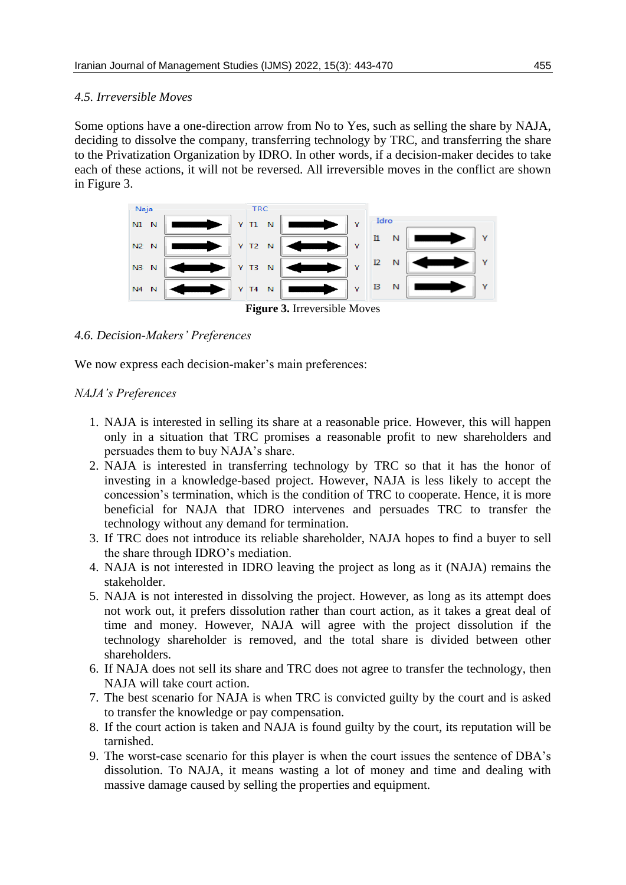# *4.5. Irreversible Moves*

Some options have a one-direction arrow from No to Yes, such as selling the share by NAJA, deciding to dissolve the company, transferring technology by TRC, and transferring the share to the Privatization Organization by IDRO. In other words, if a decision-maker decides to take each of these actions, it will not be reversed. All irreversible moves in the conflict are shown in Figure 3.



# *4.6. Decision-Makers' Preferences*

We now express each decision-maker's main preferences:

# *NAJA's Preferences*

- 1. NAJA is interested in selling its share at a reasonable price. However, this will happen only in a situation that TRC promises a reasonable profit to new shareholders and persuades them to buy NAJA's share.
- 2. NAJA is interested in transferring technology by TRC so that it has the honor of investing in a knowledge-based project. However, NAJA is less likely to accept the concession's termination, which is the condition of TRC to cooperate. Hence, it is more beneficial for NAJA that IDRO intervenes and persuades TRC to transfer the technology without any demand for termination.
- 3. If TRC does not introduce its reliable shareholder, NAJA hopes to find a buyer to sell the share through IDRO's mediation.
- 4. NAJA is not interested in IDRO leaving the project as long as it (NAJA) remains the stakeholder.
- 5. NAJA is not interested in dissolving the project. However, as long as its attempt does not work out, it prefers dissolution rather than court action, as it takes a great deal of time and money. However, NAJA will agree with the project dissolution if the technology shareholder is removed, and the total share is divided between other shareholders.
- 6. If NAJA does not sell its share and TRC does not agree to transfer the technology, then NAJA will take court action.
- 7. The best scenario for NAJA is when TRC is convicted guilty by the court and is asked to transfer the knowledge or pay compensation.
- 8. If the court action is taken and NAJA is found guilty by the court, its reputation will be tarnished.
- 9. The worst-case scenario for this player is when the court issues the sentence of DBA's dissolution. To NAJA, it means wasting a lot of money and time and dealing with massive damage caused by selling the properties and equipment.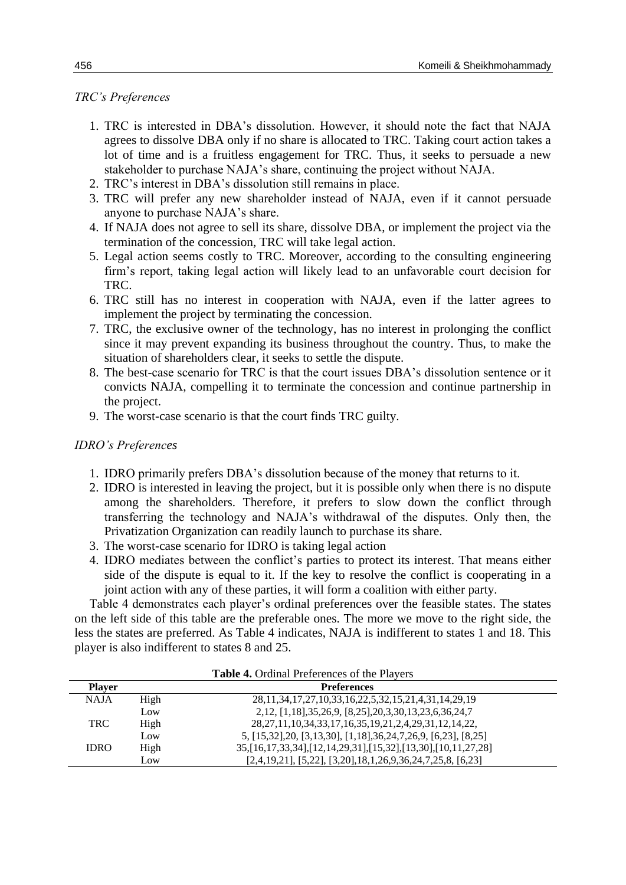## *TRC's Preferences*

- 1. TRC is interested in DBA's dissolution. However, it should note the fact that NAJA agrees to dissolve DBA only if no share is allocated to TRC. Taking court action takes a lot of time and is a fruitless engagement for TRC. Thus, it seeks to persuade a new stakeholder to purchase NAJA's share, continuing the project without NAJA.
- 2. TRC's interest in DBA's dissolution still remains in place.
- 3. TRC will prefer any new shareholder instead of NAJA, even if it cannot persuade anyone to purchase NAJA's share.
- 4. If NAJA does not agree to sell its share, dissolve DBA, or implement the project via the termination of the concession, TRC will take legal action.
- 5. Legal action seems costly to TRC. Moreover, according to the consulting engineering firm's report, taking legal action will likely lead to an unfavorable court decision for TRC.
- 6. TRC still has no interest in cooperation with NAJA, even if the latter agrees to implement the project by terminating the concession.
- 7. TRC, the exclusive owner of the technology, has no interest in prolonging the conflict since it may prevent expanding its business throughout the country. Thus, to make the situation of shareholders clear, it seeks to settle the dispute.
- 8. The best-case scenario for TRC is that the court issues DBA's dissolution sentence or it convicts NAJA, compelling it to terminate the concession and continue partnership in the project.
- 9. The worst-case scenario is that the court finds TRC guilty.

### *IDRO's Preferences*

- 1. IDRO primarily prefers DBA's dissolution because of the money that returns to it.
- 2. IDRO is interested in leaving the project, but it is possible only when there is no dispute among the shareholders. Therefore, it prefers to slow down the conflict through transferring the technology and NAJA's withdrawal of the disputes. Only then, the Privatization Organization can readily launch to purchase its share.
- 3. The worst-case scenario for IDRO is taking legal action
- 4. IDRO mediates between the conflict's parties to protect its interest. That means either side of the dispute is equal to it. If the key to resolve the conflict is cooperating in a joint action with any of these parties, it will form a coalition with either party.

Table 4 demonstrates each player's ordinal preferences over the feasible states. The states on the left side of this table are the preferable ones. The more we move to the right side, the less the states are preferred. As Table 4 indicates, NAJA is indifferent to states 1 and 18. This player is also indifferent to states 8 and 25.

|               |      | <b>Table 4.</b> Ordinal Preferences of the Players                           |  |
|---------------|------|------------------------------------------------------------------------------|--|
| <b>Player</b> |      | <b>Preferences</b>                                                           |  |
| <b>NAJA</b>   | High | 28, 11, 34, 17, 27, 10, 33, 16, 22, 5, 32, 15, 21, 4, 31, 14, 29, 19         |  |
|               | Low  | 2, 12, [1, 18], 35, 26, 9, [8, 25], 20, 3, 30, 13, 23, 6, 36, 24, 7          |  |
| <b>TRC</b>    | High | 28, 27, 11, 10, 34, 33, 17, 16, 35, 19, 21, 2, 4, 29, 31, 12, 14, 22,        |  |
|               | Low  | 5, [15,32], 20, [3,13,30], [1,18], 36, 24, 7, 26, 9, [6, 23], [8, 25]        |  |
| <b>IDRO</b>   | High | 35, [16, 17, 33, 34], [12, 14, 29, 31], [15, 32], [13, 30], [10, 11, 27, 28] |  |
|               | Low  | $[2,4,19,21]$ , $[5,22]$ , $[3,20]$ , $[18,1,26,9,36,24,7,25,8$ , $[6,23]$   |  |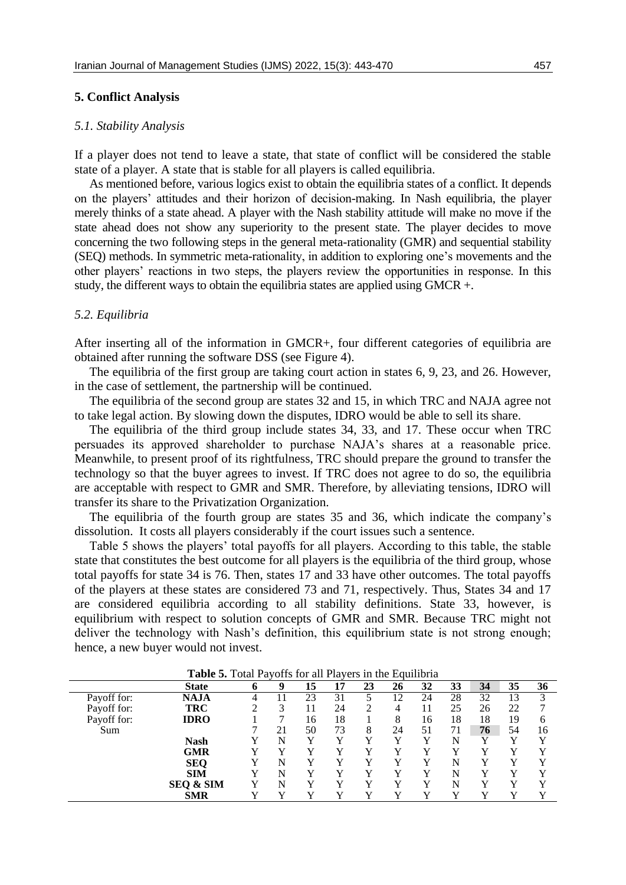#### *5.1. Stability Analysis*

If a player does not tend to leave a state, that state of conflict will be considered the stable state of a player. A state that is stable for all players is called equilibria.

As mentioned before, various logics exist to obtain the equilibria states of a conflict. It depends on the players' attitudes and their horizon of decision-making. In Nash equilibria, the player merely thinks of a state ahead. A player with the Nash stability attitude will make no move if the state ahead does not show any superiority to the present state. The player decides to move concerning the two following steps in the general meta-rationality (GMR) and sequential stability (SEQ) methods. In symmetric meta-rationality, in addition to exploring one's movements and the other players' reactions in two steps, the players review the opportunities in response. In this study, the different ways to obtain the equilibria states are applied using GMCR +.

#### *5.2. Equilibria*

After inserting all of the information in GMCR+, four different categories of equilibria are obtained after running the software DSS (see Figure 4).

The equilibria of the first group are taking court action in states 6, 9, 23, and 26. However, in the case of settlement, the partnership will be continued.

The equilibria of the second group are states 32 and 15, in which TRC and NAJA agree not to take legal action. By slowing down the disputes, IDRO would be able to sell its share.

The equilibria of the third group include states 34, 33, and 17. These occur when TRC persuades its approved shareholder to purchase NAJA's shares at a reasonable price. Meanwhile, to present proof of its rightfulness, TRC should prepare the ground to transfer the technology so that the buyer agrees to invest. If TRC does not agree to do so, the equilibria are acceptable with respect to GMR and SMR. Therefore, by alleviating tensions, IDRO will transfer its share to the Privatization Organization.

The equilibria of the fourth group are states 35 and 36, which indicate the company's dissolution. It costs all players considerably if the court issues such a sentence.

Table 5 shows the players' total payoffs for all players. According to this table, the stable state that constitutes the best outcome for all players is the equilibria of the third group, whose total payoffs for state 34 is 76. Then, states 17 and 33 have other outcomes. The total payoffs of the players at these states are considered 73 and 71, respectively. Thus, States 34 and 17 are considered equilibria according to all stability definitions. State 33, however, is equilibrium with respect to solution concepts of GMR and SMR. Because TRC might not deliver the technology with Nash's definition, this equilibrium state is not strong enough; hence, a new buyer would not invest.

|             | <b>State</b>         | O | 9  | 15 | 17 | 23 | 26 | 32 | 33 | 34          | 35 | 36 |
|-------------|----------------------|---|----|----|----|----|----|----|----|-------------|----|----|
| Payoff for: | NAJA                 | 4 |    | 23 | 31 |    | 12 | 24 | 28 | 32          | 13 | 3  |
| Payoff for: | <b>TRC</b>           | ി | 3  |    | 24 |    | 4  |    | 25 | 26          | 22 | ⇁  |
| Payoff for: | <b>IDRO</b>          |   | ┑  | 16 | 18 |    | 8  | 16 | 18 | 18          | 19 | 6  |
| Sum         |                      | ┑ | 21 | 50 | 73 | 8  | 24 | 51 | 71 | 76          | 54 | 16 |
|             | <b>Nash</b>          |   | N  | v  |    | v  |    |    | N  | $\mathbf v$ | v  | v  |
|             | GMR                  | v |    |    |    |    |    |    |    |             |    |    |
|             | <b>SEQ</b>           | v | N  |    |    | v  |    |    | N  |             | v  | v  |
|             | <b>SIM</b>           |   | N  |    |    | v  | v  |    | N  |             |    | v  |
|             | <b>SEQ &amp; SIM</b> | v | N  | v  | v  | v  |    |    | N  |             | v  | v  |
|             | <b>SMR</b>           | v |    |    |    | v  | v  |    |    |             | v  | v  |

**Table 5.** Total Payoffs for all Players in the Equilibria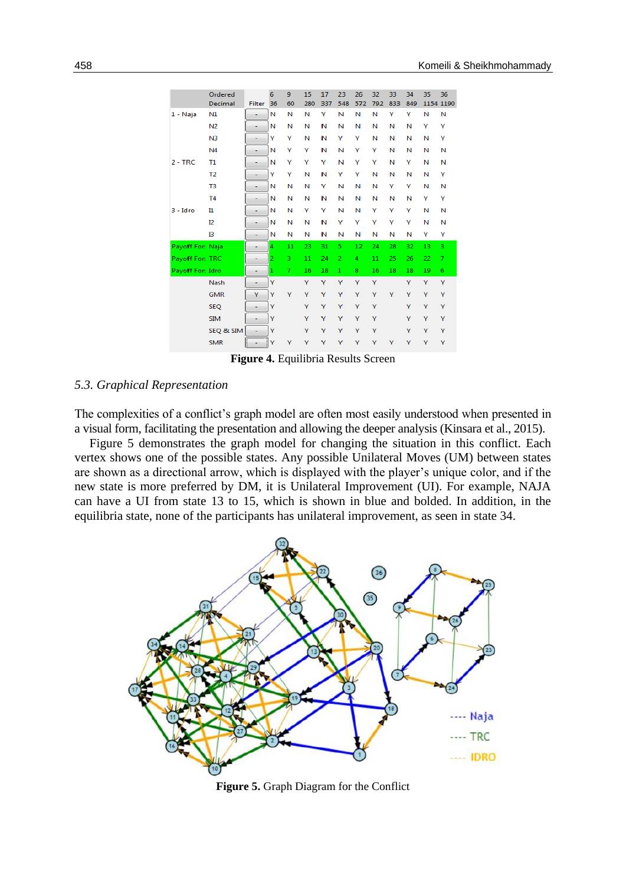|                  | Ordered        |                           | 6              | 9              | 15  | 17  | 23             | 26  | 32  | 33  | 34  | 35       | 36 |
|------------------|----------------|---------------------------|----------------|----------------|-----|-----|----------------|-----|-----|-----|-----|----------|----|
|                  | Decimal        | <b>Filter</b>             | 36             | 60             | 280 | 337 | 548            | 572 | 792 | 833 | 849 | 1154 119 |    |
| $1 - Naja$       | N1             |                           | N              | Ν              | Ν   | Y   | N              | N   | N   | Ÿ   | Y   | N        | N  |
|                  | N <sub>2</sub> |                           | N              | Ν              | Ν   | N   | N              | Ν   | Ν   | N   | Ν   | Υ        | Υ  |
|                  | N <sub>3</sub> |                           | Y              | Y              | Ν   | Ν   | Y              | Υ   | Ν   | N   | N   | Ν        | Υ  |
|                  | N4             | ۰                         | N              | Y              | Υ   | N   | N              | Υ   | Υ   | Ν   | N   | N        | Ν  |
| $2 - TRC$        | T1             |                           | N              | Y              | γ   | Y   | N              | Y   | Υ   | Ν   | Y   | Ν        | Ν  |
|                  | T <sub>2</sub> |                           | Y              | Y              | Ν   | N   | Y              | Υ   | Ν   | N   | N   | Ν        | Υ  |
|                  | T3             |                           | N              | N              | Ν   | Y   | N              | Ν   | Ν   | Y   | Y   | N        | Ν  |
|                  | <b>T4</b>      |                           | N              | Ν              | Ν   | N   | N              | Ν   | Ν   | И   | N   | Y        | Υ  |
| $3 - Idro$       | $_{\rm n}$     |                           | N              | Ν              | Y   | Y   | N              | Ν   | Y   | Υ   | Y   | Ν        | Ν  |
|                  | I2             |                           | N              | Ν              | Ν   | N   | Y              | Υ   | Υ   | γ   | Y   | Ν        | Ν  |
|                  | в              |                           | Ν              | Ν              | Ν   | N   | N              | И   | N   | N   | N   | Y        | Υ  |
| Payoff For: Naja |                |                           | 4              | 11             | 23  | 31  | 5              | 12  | 24  | 28  | 32  | 13       | 3  |
| Payoff For: TRC  |                |                           | $\overline{2}$ | 3              | 11  | 24  | $\overline{2}$ | 4   | 11  | 25  | 26  | 22       | 7  |
| Payoff For: Idro |                |                           | $\mathbf{1}$   | $\overline{7}$ | 16  | 18  | $\mathbf{1}$   | 8   | 16  | 18  | 18  | 19       | 6  |
|                  | <b>Nash</b>    |                           | Y              |                | Ÿ   | Y   | Y              | Ÿ   | Ÿ   |     | v   | Y        | Y  |
|                  | <b>GMR</b>     | Y                         | Y              | Y              | γ   | Y   | Ÿ              | Ÿ   | Υ   | Y   | Ÿ   | Ÿ        | Υ  |
|                  | <b>SEQ</b>     |                           | Ÿ              |                | Ÿ   | Y   | Y              | Ÿ   | Ÿ   |     | Y   | Y        | Ÿ  |
|                  | <b>SIM</b>     |                           | Ÿ              |                | Y   | Y   | Y              | Ÿ   | Ÿ   |     | v   | Y        | Ÿ  |
|                  | SEQ & SIM      |                           | Ÿ              |                | Y   | Y   | Y              | Y   | Ÿ   |     | Y   | Y        | Ÿ  |
|                  | <b>SMR</b>     | <del>,</del><br><u>l.</u> | Ÿ              | Y              | Y   | Υ   | Y              | Y   | Y   | Y   | Y   | Υ        | Y  |
|                  |                |                           |                |                |     |     |                |     |     |     |     |          |    |

**Figure 4.** Equilibria Results Screen

### *5.3. Graphical Representation*

The complexities of a conflict's graph model are often most easily understood when presented in a visual form, facilitating the presentation and allowing the deeper analysis (Kinsara et al., 2015).

Figure 5 demonstrates the graph model for changing the situation in this conflict. Each vertex shows one of the possible states. Any possible Unilateral Moves (UM) between states are shown as a directional arrow, which is displayed with the player's unique color, and if the new state is more preferred by DM, it is Unilateral Improvement (UI). For example, NAJA can have a UI from state 13 to 15, which is shown in blue and bolded. In addition, in the equilibria state, none of the participants has unilateral improvement, as seen in state 34.



**Figure 5.** Graph Diagram for the Conflict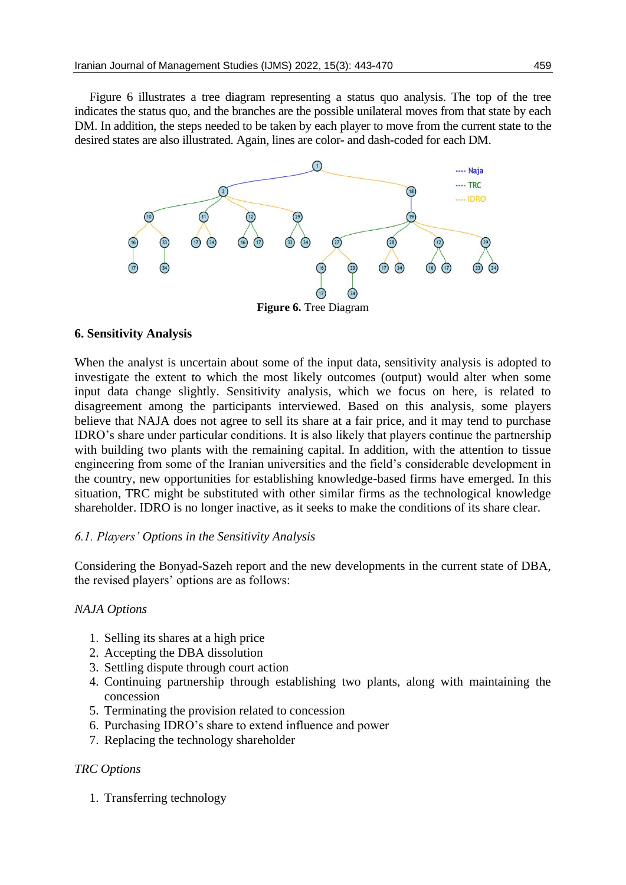Figure 6 illustrates a tree diagram representing a status quo analysis. The top of the tree indicates the status quo, and the branches are the possible unilateral moves from that state by each DM. In addition, the steps needed to be taken by each player to move from the current state to the desired states are also illustrated. Again, lines are color- and dash-coded for each DM.



# **6. Sensitivity Analysis**

When the analyst is uncertain about some of the input data, sensitivity analysis is adopted to investigate the extent to which the most likely outcomes (output) would alter when some input data change slightly. Sensitivity analysis, which we focus on here, is related to disagreement among the participants interviewed. Based on this analysis, some players believe that NAJA does not agree to sell its share at a fair price, and it may tend to purchase IDRO's share under particular conditions. It is also likely that players continue the partnership with building two plants with the remaining capital. In addition, with the attention to tissue engineering from some of the Iranian universities and the field's considerable development in the country, new opportunities for establishing knowledge-based firms have emerged. In this situation, TRC might be substituted with other similar firms as the technological knowledge shareholder. IDRO is no longer inactive, as it seeks to make the conditions of its share clear.

# *6.1. Players' Options in the Sensitivity Analysis*

Considering the Bonyad-Sazeh report and the new developments in the current state of DBA, the revised players' options are as follows:

# *NAJA Options*

- 1. Selling its shares at a high price
- 2. Accepting the DBA dissolution
- 3. Settling dispute through court action
- 4. Continuing partnership through establishing two plants, along with maintaining the concession
- 5. Terminating the provision related to concession
- 6. Purchasing IDRO's share to extend influence and power
- 7. Replacing the technology shareholder

# *TRC Options*

1. Transferring technology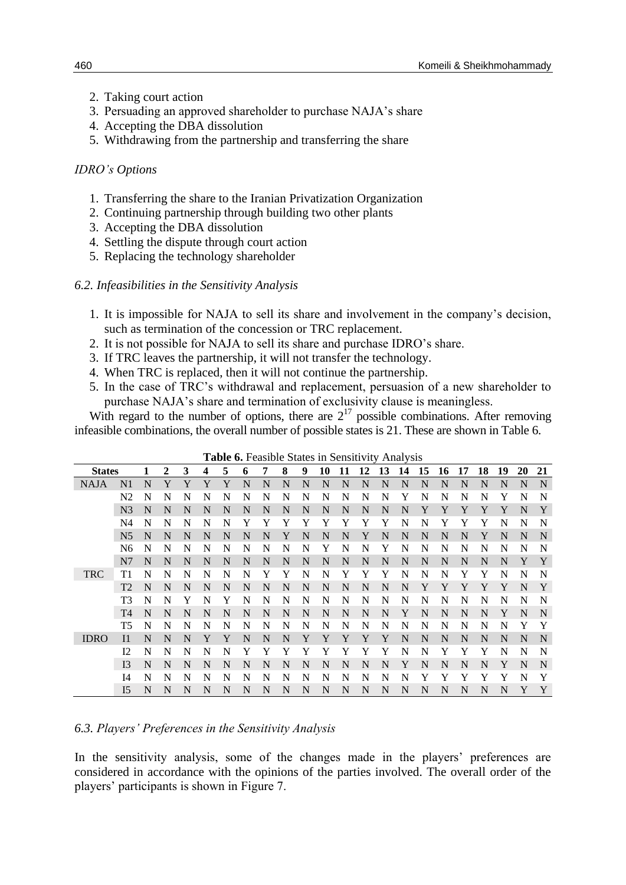- 2. Taking court action
- 3. Persuading an approved shareholder to purchase NAJA's share
- 4. Accepting the DBA dissolution
- 5. Withdrawing from the partnership and transferring the share

### *IDRO's Options*

- 1. Transferring the share to the Iranian Privatization Organization
- 2. Continuing partnership through building two other plants
- 3. Accepting the DBA dissolution
- 4. Settling the dispute through court action
- 5. Replacing the technology shareholder

### *6.2. Infeasibilities in the Sensitivity Analysis*

- 1. It is impossible for NAJA to sell its share and involvement in the company's decision, such as termination of the concession or TRC replacement.
- 2. It is not possible for NAJA to sell its share and purchase IDRO's share.
- 3. If TRC leaves the partnership, it will not transfer the technology.
- 4. When TRC is replaced, then it will not continue the partnership.
- 5. In the case of TRC's withdrawal and replacement, persuasion of a new shareholder to purchase NAJA's share and termination of exclusivity clause is meaningless.

With regard to the number of options, there are  $2^{17}$  possible combinations. After removing infeasible combinations, the overall number of possible states is 21. These are shown in Table 6.

|               |                |   |   |   |   | TUNIC |   |   |   |   |    |    |    | <b>0.</b> I castole blates in behalterity than you |    |    |    |    |    |    |    |    |
|---------------|----------------|---|---|---|---|-------|---|---|---|---|----|----|----|----------------------------------------------------|----|----|----|----|----|----|----|----|
| <b>States</b> |                |   | 2 | 3 | 4 | 5     | 6 | 7 | 8 | 9 | 10 | 11 | 12 | 13                                                 | 14 | 15 | 16 | 17 | 18 | 19 | 20 | 21 |
| <b>NAJA</b>   | N1             | N | Y | Y | Y | Y     | N | N | N | N | N  | N  | N  | N                                                  | N  | N  | N  | N  | N  | N  | N  | N  |
|               | N <sub>2</sub> | N | N | N | N | N     | N | N | N | N | N  | N  | N  | N                                                  | Y  | N  | N  | N  | N  | Y  | N  | N  |
|               | N <sub>3</sub> | N | N | N | N | N     | N | N | N | N | N  | N  | N  | N                                                  | N  | Y  | Y  | Y  | Y  | Y  | N  | Y  |
|               | N4             | N | N | N | N | N     |   |   |   | Y | Y  | Y  | Y  | Y                                                  | N  | N  | Y  | Y  | Y  | N  | N  | N  |
|               | N <sub>5</sub> | N | N | N | N | N     | N | N | Y | N | N  | N  | Y  | N                                                  | N  | N  | N  | N  | Y  | N  | N  | N  |
|               | N6             | N | N | N | N | N     | N | N | N | N | Y  | N  | N  | Y                                                  | N  | N  | N  | N  | N  | N  | N  | N  |
|               | N7             | N | N | N | N | N     | N | N | N | N | N  | N  | N  | N                                                  | N  | N  | N  | N  | N  | N  | Y  | Y  |
| <b>TRC</b>    | T1             | N | N | N | N | N     | N | Y | Y | N | N  | Y  | Y  | Y                                                  | N  | N  | N  | Y  | Y  | N  | N  | N  |
|               | T2             | N | N | N | N | N     | N | N | N | N | N  | N  | N  | N                                                  | N  | Y  | Y  | Y  | Y  | Y  | N  | Y  |
|               | T3             | N | N | Y | N | Y     | N | N | N | N | N  | N  | N  | N                                                  | N  | N  | N  | N  | N  | N  | N  | N  |
|               | T <sub>4</sub> | N | N | N | N | N     | N | N | N | N | N  | N  | N  | N                                                  | Y  | N  | N  | N  | N  | Y  | N  | N  |
|               | T5             | N | N | N | N | N     | N | N | N | N | N  | N  | N  | N                                                  | N  | N  | N  | N  | N  | N  | Y  | Y  |
| <b>IDRO</b>   | $_{11}$        | N | N | N | Y | Y     | N | N | N | Y | Y  | Y  | Y  | Y                                                  | N  | N  | N  | N  | N  | N  | N  | N  |
|               | 12             | N | N | N | N | N     | Y | Y | Y | Y | Y  | Y  | Y  | Y                                                  | N  | N  | Y  | Y  | Y  | N  | N  | N  |
|               | I3             | N | N | N | N | N     | N | N | N | N | N  | N  | N  | N                                                  | Y  | N  | N  | N  | N  | Y  | N  | N  |
|               | I4             | N | N | N | N | N     | N | N | N | N | N  | N  | N  | N                                                  | N  |    | Y  | Y  | Y  | Y  | N  | Y  |
|               | I <sub>5</sub> | N | N | N | N | N     | N | N | N | N | N  | N  | N  | N                                                  | N  | N  | N  | N  | N  | N  | Y  | Y  |

**Table 6.** Feasible States in Sensitivity Analysis

# *6.3. Players' Preferences in the Sensitivity Analysis*

In the sensitivity analysis, some of the changes made in the players' preferences are considered in accordance with the opinions of the parties involved. The overall order of the players' participants is shown in Figure 7.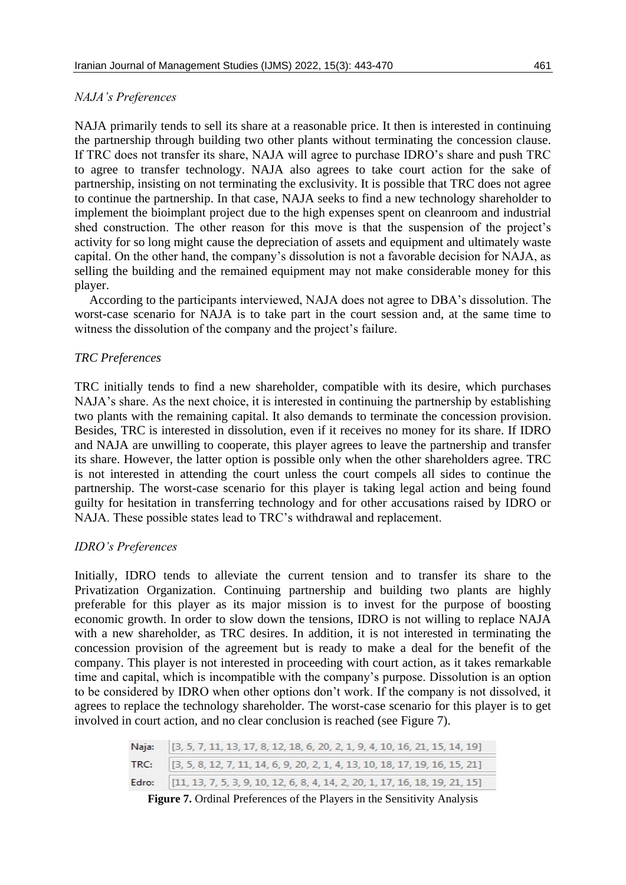### *NAJA's Preferences*

NAJA primarily tends to sell its share at a reasonable price. It then is interested in continuing the partnership through building two other plants without terminating the concession clause. If TRC does not transfer its share, NAJA will agree to purchase IDRO's share and push TRC to agree to transfer technology. NAJA also agrees to take court action for the sake of partnership, insisting on not terminating the exclusivity. It is possible that TRC does not agree to continue the partnership. In that case, NAJA seeks to find a new technology shareholder to implement the bioimplant project due to the high expenses spent on cleanroom and industrial shed construction. The other reason for this move is that the suspension of the project's activity for so long might cause the depreciation of assets and equipment and ultimately waste capital. On the other hand, the company's dissolution is not a favorable decision for NAJA, as selling the building and the remained equipment may not make considerable money for this player.

According to the participants interviewed, NAJA does not agree to DBA's dissolution. The worst-case scenario for NAJA is to take part in the court session and, at the same time to witness the dissolution of the company and the project's failure.

### *TRC Preferences*

TRC initially tends to find a new shareholder, compatible with its desire, which purchases NAJA's share. As the next choice, it is interested in continuing the partnership by establishing two plants with the remaining capital. It also demands to terminate the concession provision. Besides, TRC is interested in dissolution, even if it receives no money for its share. If IDRO and NAJA are unwilling to cooperate, this player agrees to leave the partnership and transfer its share. However, the latter option is possible only when the other shareholders agree. TRC is not interested in attending the court unless the court compels all sides to continue the partnership. The worst-case scenario for this player is taking legal action and being found guilty for hesitation in transferring technology and for other accusations raised by IDRO or NAJA. These possible states lead to TRC's withdrawal and replacement.

### *IDRO's Preferences*

Initially, IDRO tends to alleviate the current tension and to transfer its share to the Privatization Organization. Continuing partnership and building two plants are highly preferable for this player as its major mission is to invest for the purpose of boosting economic growth. In order to slow down the tensions, IDRO is not willing to replace NAJA with a new shareholder, as TRC desires. In addition, it is not interested in terminating the concession provision of the agreement but is ready to make a deal for the benefit of the company. This player is not interested in proceeding with court action, as it takes remarkable time and capital, which is incompatible with the company's purpose. Dissolution is an option to be considered by IDRO when other options don't work. If the company is not dissolved, it agrees to replace the technology shareholder. The worst-case scenario for this player is to get involved in court action, and no clear conclusion is reached (see Figure 7).

| Naja: [3, 5, 7, 11, 13, 17, 8, 12, 18, 6, 20, 2, 1, 9, 4, 10, 16, 21, 15, 14, 19] |
|-----------------------------------------------------------------------------------|
| TRC: [3, 5, 8, 12, 7, 11, 14, 6, 9, 20, 2, 1, 4, 13, 10, 18, 17, 19, 16, 15, 21]  |
| Edro: [11, 13, 7, 5, 3, 9, 10, 12, 6, 8, 4, 14, 2, 20, 1, 17, 16, 18, 19, 21, 15] |

**Figure 7.** Ordinal Preferences of the Players in the Sensitivity Analysis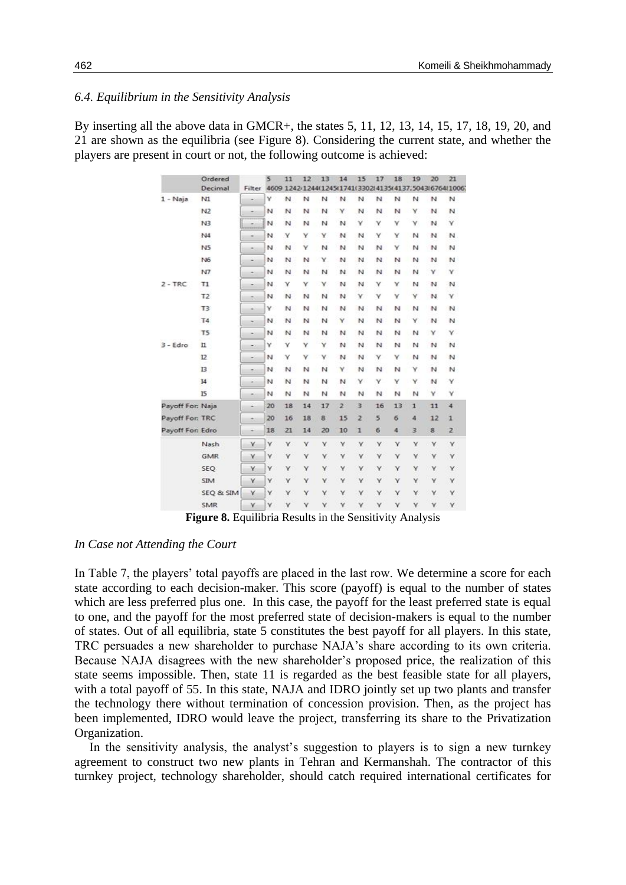### *6.4. Equilibrium in the Sensitivity Analysis*

By inserting all the above data in GMCR+, the states 5, 11, 12, 13, 14, 15, 17, 18, 19, 20, and 21 are shown as the equilibria (see Figure 8). Considering the current state, and whether the players are present in court or not, the following outcome is achieved:

|                  | Ordered<br>Decimal | Filter | 5  | 11      | 12 | 13 | 14             | 15             | 17 | 18 | 19           | 20 | 21<br>4609 1242/1244(1245(1741(3302)4135(4137,5043(6764)1006) |
|------------------|--------------------|--------|----|---------|----|----|----------------|----------------|----|----|--------------|----|---------------------------------------------------------------|
| $1 - Naja$       | N1                 |        | Υ  | N       | N  | N  | N              | N              | N  | N  | N            | N  | И                                                             |
|                  | N <sub>2</sub>     |        | N  | N       | N  | N  | Υ              | N              | N  | N  | Υ            | N  | N                                                             |
|                  | N <sub>3</sub>     |        | N  | N       | N  | N  | N              | ¥              | v  | ٧  | ٧            | N  | Y                                                             |
|                  | 144                |        | N  | Y       | Υ  | Y  | Ν              | м              | Υ  | Υ  | N            | N  | И                                                             |
|                  | N <sub>5</sub>     |        | N  | N       | Υ  | N  | N              | м              | N  | Υ  | N            | N  | N                                                             |
|                  | 146                |        | N  | N       | N  | Y  | N              | N              | N  | N  | N            | N  | $\mathbb{N}$                                                  |
|                  | N7                 |        | N  | N       | N  | N  | N              | N              | N  | N  | N            | γ  | Y                                                             |
| $2 - TRC$        | T1                 | ÷      | N  | Y       | Υ  | Y. | N              | N              | γ  | Υ  | N            | N  | N                                                             |
|                  | T2                 |        | N  | N       | N  | N  | N              | Υ              | γ  | Υ  | v            | N  | γ                                                             |
|                  | T3                 | ۰      | v  | N       | N  | N  | N              | N              | N  | N  | N            | N  | N                                                             |
|                  | <b>T4</b>          | ۰      | N  | N       | N  | N  | ٧              | N              | N  | N  | Υ            | N  | И                                                             |
|                  | T <sub>5</sub>     | ٠      | N  | N       | N  | м  | N              | И              | N  | N  | N            | Υ  | Υ.                                                            |
| $3 - Edro$       | $\mathbf{u}$       | $\sim$ | ٧  | Ÿ       | Υ  | γ  | N              | N              | N  | N  | N            | N  | И                                                             |
|                  | 12                 | -      | N  | Y       | γ  | Y  | N              | N              | γ  | Υ  | N            | N  | N                                                             |
|                  | B                  | ۰      | N  | N       | N  | N  | ٧              | N              | Ν  | N  | Υ            | N  | И                                                             |
|                  | I4                 | ٠      | N  | N       | N  | N  | N              | v              | v  | Y  | Υ            | N  | Y.                                                            |
|                  | 15                 | ٠      | N  | N       | N  | м  | и              | N              | N  | N  | N            | ٧  | ٧                                                             |
| Payoff For: Naja |                    |        | 20 | 18      | 14 | 17 | $\overline{2}$ | 3              | 16 | 13 | $\mathbf{1}$ | 11 | 4                                                             |
| Payoff For: TRC  |                    |        | 20 | 16      | 18 | 8  | 15             | $\overline{z}$ | 5  | 6  | 4            | 12 | $\mathbf{1}$                                                  |
| Payoff For: Edro |                    |        | 18 | $^{21}$ | 14 | 20 | 10             | $\mathbf{1}$   | 6  | 4  | 3            | 8  | $\overline{z}$                                                |
|                  | Nash               | Y      | Y  | Y       | Y  | Y  | Y              | Y              | Y  | Y  | Y            | ٧  | Y                                                             |
|                  | <b>GMR</b>         | Y      | Y  | Y       | Y  | Ÿ  | Y              | Y              | Ÿ  | Y  | Ÿ            | Y  | Y                                                             |
|                  | SEQ                | Y      | ٧  | Y       | Y  | Υ  | Y              | Y              | Y  | Υ  | Y            | Y. | Y                                                             |
|                  | <b>SIM</b>         | Ÿ      | Y  | Y       | Y  | Ÿ  | Ÿ              | Y              | Ÿ  | Y  | Y            | Ϋ  | Y                                                             |
|                  | SEQ & SIM          | Y      | Ÿ  | Y       | Y  | Ÿ  | Y              | Y              | Y  | Y  | Y            | Y  | Y                                                             |
|                  | <b>SMR</b>         | Y      | Y  | Y       | Y  | Y  | Y              | Y              | Y  | Y  | Y            | Ÿ  | Y                                                             |

**Figure 8.** Equilibria Results in the Sensitivity Analysis

#### *In Case not Attending the Court*

In Table 7, the players' total payoffs are placed in the last row. We determine a score for each state according to each decision-maker. This score (payoff) is equal to the number of states which are less preferred plus one. In this case, the payoff for the least preferred state is equal to one, and the payoff for the most preferred state of decision-makers is equal to the number of states. Out of all equilibria, state 5 constitutes the best payoff for all players. In this state, TRC persuades a new shareholder to purchase NAJA's share according to its own criteria. Because NAJA disagrees with the new shareholder's proposed price, the realization of this state seems impossible. Then, state 11 is regarded as the best feasible state for all players, with a total payoff of 55. In this state, NAJA and IDRO jointly set up two plants and transfer the technology there without termination of concession provision. Then, as the project has been implemented, IDRO would leave the project, transferring its share to the Privatization Organization.

In the sensitivity analysis, the analyst's suggestion to players is to sign a new turnkey agreement to construct two new plants in Tehran and Kermanshah. The contractor of this turnkey project, technology shareholder, should catch required international certificates for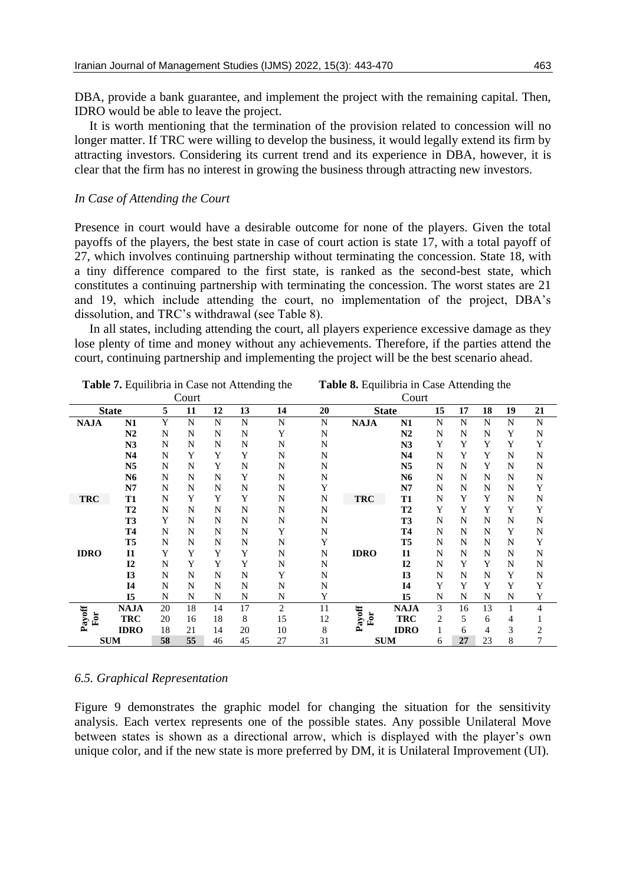DBA, provide a bank guarantee, and implement the project with the remaining capital. Then, IDRO would be able to leave the project.

It is worth mentioning that the termination of the provision related to concession will no longer matter. If TRC were willing to develop the business, it would legally extend its firm by attracting investors. Considering its current trend and its experience in DBA, however, it is clear that the firm has no interest in growing the business through attracting new investors.

### *In Case of Attending the Court*

Presence in court would have a desirable outcome for none of the players. Given the total payoffs of the players, the best state in case of court action is state 17, with a total payoff of 27, which involves continuing partnership without terminating the concession. State 18, with a tiny difference compared to the first state, is ranked as the second-best state, which constitutes a continuing partnership with terminating the concession. The worst states are 21 and 19, which include attending the court, no implementation of the project, DBA's dissolution, and TRC's withdrawal (see Table 8).

In all states, including attending the court, all players experience excessive damage as they lose plenty of time and money without any achievements. Therefore, if the parties attend the court, continuing partnership and implementing the project will be the best scenario ahead.

|               | Table 7. Equilibria in Case not Attending the |    |       |    |    |    | Table 8. Equilibria in Case Attending the |               |                |    |    |    |    |                         |  |
|---------------|-----------------------------------------------|----|-------|----|----|----|-------------------------------------------|---------------|----------------|----|----|----|----|-------------------------|--|
|               |                                               |    | Court |    |    |    | Court                                     |               |                |    |    |    |    |                         |  |
| <b>State</b>  | 5                                             | 11 | 12    | 13 | 14 | 20 | <b>State</b>                              |               | 15             | 17 | 18 | 19 | 21 |                         |  |
| <b>NAJA</b>   | N1                                            | Y  | N     | N  | N  | N  | N                                         | <b>NAJA</b>   | N1             | N  | N  | N  | N  | N                       |  |
|               | N <sub>2</sub>                                | N  | N     | N  | N  | Y  | N                                         |               | N2             | N  | N  | N  | Y  | N                       |  |
|               | N3                                            | N  | N     | N  | N  | N  | N                                         |               | N3<br>N4       | Y  | Y  | Y  | Y  | Y                       |  |
|               | N <sub>4</sub>                                | N  | Y     | Y  | Y  | N  | N                                         |               |                | N  | Y  | Y  | N  | N                       |  |
|               | N <sub>5</sub>                                | N  | N     | Y  | N  | N  | N                                         |               | N <sub>5</sub> | N  | N  | Y  | N  | N                       |  |
|               | N6                                            | N  | N     | N  | Y  | N  | N                                         |               | N6             | N  | N  | N  | N  | N                       |  |
|               | N7                                            | N  | N     | N  | N  | N  | Y                                         |               | N7             | N  | N  | N  | N  | Y                       |  |
| <b>TRC</b>    | <b>T1</b>                                     | N  | Y     | Y  | Y  | N  | N                                         | <b>TRC</b>    | <b>T1</b>      | N  | Y  | Y  | N  | N                       |  |
|               | <b>T2</b>                                     | N  | N     | N  | N  | N  | N                                         |               | <b>T2</b>      | Y  | Y  | Y  | Y  | Y                       |  |
| <b>IDRO</b>   | <b>T3</b>                                     | Y  | N     | N  | N  | N  | N                                         |               | <b>T3</b>      | N  | N  | N  | N  | N                       |  |
|               | <b>T4</b>                                     | N  | N     | N  | N  | Y  | N                                         |               | <b>T4</b>      | N  | N  | N  | Y  | N                       |  |
|               | T <sub>5</sub>                                | N  | N     | N  | N  | N  | Y                                         |               | T <sub>5</sub> | N  | N  | N  | N  | Y                       |  |
|               | <b>I1</b>                                     | Y  | Y     | Y  | Y  | N  | N                                         | <b>IDRO</b>   | <b>I1</b>      | N  | N  | N  | N  | N                       |  |
|               | I2                                            | N  | Y     | Y  | Y  | N  | N                                         |               | I2             | N  | Y  | Y  | N  | N                       |  |
|               | <b>I3</b>                                     | N  | N     | N  | N  | Y  | N                                         |               | <b>I3</b>      | N  | N  | N  | Y  | N                       |  |
|               | <b>I4</b>                                     | N  | N     | N  | N  | N  | N                                         |               | I4             | Y  | Y  | Y  | Y  | Y                       |  |
|               | <b>I5</b>                                     | N  | N     | N  | N  | N  | Y                                         |               | <b>I5</b>      | N  | N  | N  | N  | Y                       |  |
|               | <b>NAJA</b>                                   | 20 | 18    | 14 | 17 | 2  | 11                                        |               | <b>NAJA</b>    | 3  | 16 | 13 | 1  | 4                       |  |
| Payoff<br>For | <b>TRC</b>                                    | 20 | 16    | 18 | 8  | 15 | 12                                        | Payoff<br>For | <b>TRC</b>     | 2  | 5  | 6  | 4  |                         |  |
|               | <b>IDRO</b>                                   | 18 | 21    | 14 | 20 | 10 | 8                                         |               | <b>IDRO</b>    |    | 6  | 4  | 3  | $\overline{\mathbf{c}}$ |  |
| <b>SUM</b>    |                                               | 58 | 55    | 46 | 45 | 27 | 31                                        | <b>SUM</b>    |                | 6  | 27 | 23 | 8  | 7                       |  |

### *6.5. Graphical Representation*

Figure 9 demonstrates the graphic model for changing the situation for the sensitivity analysis. Each vertex represents one of the possible states. Any possible Unilateral Move between states is shown as a directional arrow, which is displayed with the player's own unique color, and if the new state is more preferred by DM, it is Unilateral Improvement (UI).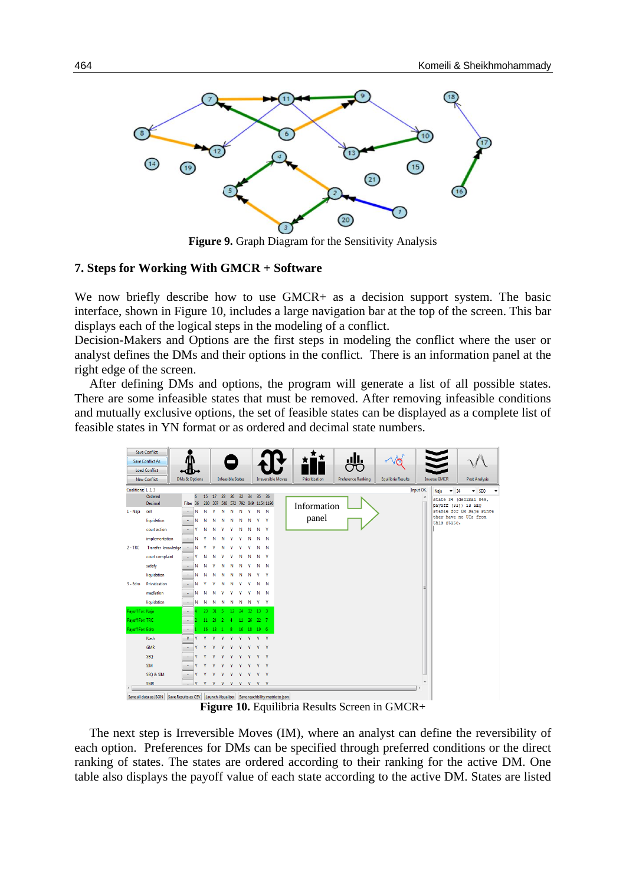

**Figure 9.** Graph Diagram for the Sensitivity Analysis

#### **7. Steps for Working With GMCR + Software**

We now briefly describe how to use GMCR+ as a decision support system. The basic interface, shown in Figure 10, includes a large navigation bar at the top of the screen. This bar displays each of the logical steps in the modeling of a conflict.

Decision-Makers and Options are the first steps in modeling the conflict where the user or analyst defines the DMs and their options in the conflict. There is an information panel at the right edge of the screen.

After defining DMs and options, the program will generate a list of all possible states. There are some infeasible states that must be removed. After removing infeasible conditions and mutually exclusive options, the set of feasible states can be displayed as a complete list of feasible states in YN format or as ordered and decimal state numbers.

|                         | <b>Save Conflict</b>                                                                        |               |           |   |    |                               |     |         |        |              |                                         |                           |                |                           |                           |           |                                                 |                              |  |
|-------------------------|---------------------------------------------------------------------------------------------|---------------|-----------|---|----|-------------------------------|-----|---------|--------|--------------|-----------------------------------------|---------------------------|----------------|---------------------------|---------------------------|-----------|-------------------------------------------------|------------------------------|--|
| <b>Save Conflict As</b> |                                                                                             |               |           |   |    |                               |     |         |        |              |                                         |                           |                |                           |                           |           |                                                 |                              |  |
| <b>Load Conflict</b>    |                                                                                             |               |           |   |    |                               |     |         |        |              |                                         |                           |                |                           |                           |           |                                                 |                              |  |
| <b>New Conflict</b>     |                                                                                             | DMs & Options |           |   |    | <b>Infeasible States</b>      |     |         |        |              |                                         | <b>Irreversible Moves</b> | Prioritization | <b>Preference Ranking</b> | <b>Equilibria Results</b> |           | <b>Inverse GMCR</b>                             | <b>Post Analysis</b>         |  |
| Coalitions: 1, 2, 3     |                                                                                             |               |           |   |    |                               |     |         |        |              |                                         |                           |                |                           |                           | Input OK. | $-34$<br>Naja                                   | $\overline{\phantom{a}}$ SEQ |  |
|                         | Ordered<br>Decimal                                                                          |               | Filter 36 | 6 | 15 | 17                            | 23  | 26      | 32     | 34           | 35<br>280 337 548 572 792 849 1154 1190 | 36                        |                |                           |                           |           |                                                 | state 34 (decimal 849,       |  |
| 1 - Naja                | sell                                                                                        |               |           | N | Ν  | v                             | N   | N       | N      | $\mathbf{Y}$ | $N$ N                                   |                           | Information    |                           |                           |           | payoff [32]) is SEQ<br>stable for DM Naja since |                              |  |
|                         | liquidation                                                                                 |               |           | Ν | Ν  | Ν                             | Ν   | N       |        |              | v.                                      | $\mathbf{Y}$              | panel          |                           |                           |           |                                                 | they have no UIs from        |  |
|                         | court action                                                                                |               |           |   | N  | N                             |     |         | Ν      | Ν            | Ν                                       | $\mathbf{Y}$              |                |                           |                           |           | this state.                                     |                              |  |
|                         | implementation                                                                              |               |           | N |    | N                             | Ν   |         |        |              | Ν                                       | N                         |                |                           |                           |           |                                                 |                              |  |
| $2 - TRC$               | Transfer knowledge                                                                          |               |           | Ν |    |                               |     |         |        |              | Ν                                       | $\mathbb N$               |                |                           |                           |           |                                                 |                              |  |
|                         | court complaint                                                                             |               |           | ٧ | N  |                               |     |         |        |              | Ν                                       | <b>V</b>                  |                |                           |                           |           |                                                 |                              |  |
|                         | satisfy                                                                                     |               |           | Ν | N  |                               |     |         |        |              | Ν                                       | $\mathbb N$               |                |                           |                           |           |                                                 |                              |  |
|                         | liquidation                                                                                 |               |           | Ν | Ν  | N                             |     |         |        |              |                                         | - Y                       |                |                           |                           |           |                                                 |                              |  |
| 3 - Edro                | Privatization                                                                               |               |           | Ν |    |                               | Ν   |         |        |              | Ν                                       | $\mathbb N$               |                |                           |                           |           |                                                 |                              |  |
|                         | mediation                                                                                   |               |           | Ν | Ν  | Ν                             |     |         |        |              | Ν                                       | N                         |                |                           |                           | Ε         |                                                 |                              |  |
|                         | liquidation                                                                                 |               |           | Ν | N  | N                             | N   | N       | Ν      | N            | Y<br>$\mathbf{Y}$                       |                           |                |                           |                           |           |                                                 |                              |  |
| Payoff For: Naja        |                                                                                             |               |           |   | 23 | 31                            | -5. | $12-12$ | $24 -$ |              | 32 13 3                                 |                           |                |                           |                           |           |                                                 |                              |  |
| Payoff For: TRC         |                                                                                             |               |           |   |    | $11 \quad 24 \quad 2 \quad 4$ |     |         |        |              | 11 26 22 7                              |                           |                |                           |                           |           |                                                 |                              |  |
| Payoff For: Edro        |                                                                                             |               |           |   |    |                               |     |         |        |              | 16  18  1  8  16  18  19  6             |                           |                |                           |                           |           |                                                 |                              |  |
|                         | <b>Nash</b>                                                                                 |               | Y         |   | v  |                               |     |         |        |              | Y<br>$\mathbf{v}$                       |                           |                |                           |                           |           |                                                 |                              |  |
|                         | <b>GMR</b>                                                                                  |               |           |   |    |                               |     |         |        |              |                                         | Y                         |                |                           |                           |           |                                                 |                              |  |
|                         | <b>SEQ</b>                                                                                  |               |           |   |    |                               |     |         |        |              |                                         | V                         |                |                           |                           |           |                                                 |                              |  |
|                         | <b>SIM</b>                                                                                  |               |           |   |    |                               |     |         |        |              |                                         | <b>V</b>                  |                |                           |                           |           |                                                 |                              |  |
|                         | SEQ & SIM                                                                                   |               |           |   |    |                               |     |         |        |              |                                         | Y                         |                |                           |                           |           |                                                 |                              |  |
|                         | <b>SMR</b>                                                                                  |               |           | ν |    |                               |     |         |        |              |                                         | <b>V</b>                  |                |                           |                           |           |                                                 |                              |  |
|                         |                                                                                             |               |           |   |    |                               |     |         |        |              |                                         |                           |                |                           |                           |           |                                                 |                              |  |
|                         | Save all data as ISON Save Results as CSV Launch Visualizer Save reachbility matrix to ison |               |           |   |    |                               |     |         |        |              |                                         |                           |                |                           |                           |           |                                                 |                              |  |

**Figure 10.** Equilibria Results Screen in GMCR+

The next step is Irreversible Moves (IM), where an analyst can define the reversibility of each option. Preferences for DMs can be specified through preferred conditions or the direct ranking of states. The states are ordered according to their ranking for the active DM. One table also displays the payoff value of each state according to the active DM. States are listed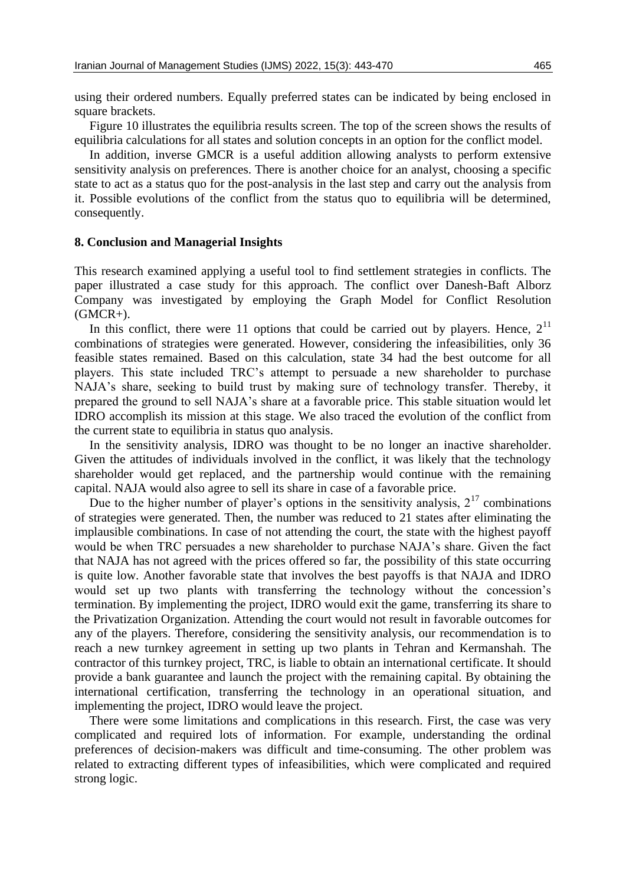using their ordered numbers. Equally preferred states can be indicated by being enclosed in square brackets.

Figure 10 illustrates the equilibria results screen. The top of the screen shows the results of equilibria calculations for all states and solution concepts in an option for the conflict model.

In addition, inverse GMCR is a useful addition allowing analysts to perform extensive sensitivity analysis on preferences. There is another choice for an analyst, choosing a specific state to act as a status quo for the post-analysis in the last step and carry out the analysis from it. Possible evolutions of the conflict from the status quo to equilibria will be determined, consequently.

#### **8. Conclusion and Managerial Insights**

This research examined applying a useful tool to find settlement strategies in conflicts. The paper illustrated a case study for this approach. The conflict over Danesh-Baft Alborz Company was investigated by employing the Graph Model for Conflict Resolution  $(GMCR+).$ 

In this conflict, there were 11 options that could be carried out by players. Hence,  $2^{11}$ combinations of strategies were generated. However, considering the infeasibilities, only 36 feasible states remained. Based on this calculation, state 34 had the best outcome for all players. This state included TRC's attempt to persuade a new shareholder to purchase NAJA's share, seeking to build trust by making sure of technology transfer. Thereby, it prepared the ground to sell NAJA's share at a favorable price. This stable situation would let IDRO accomplish its mission at this stage. We also traced the evolution of the conflict from the current state to equilibria in status quo analysis.

In the sensitivity analysis, IDRO was thought to be no longer an inactive shareholder. Given the attitudes of individuals involved in the conflict, it was likely that the technology shareholder would get replaced, and the partnership would continue with the remaining capital. NAJA would also agree to sell its share in case of a favorable price.

Due to the higher number of player's options in the sensitivity analysis,  $2^{17}$  combinations of strategies were generated. Then, the number was reduced to 21 states after eliminating the implausible combinations. In case of not attending the court, the state with the highest payoff would be when TRC persuades a new shareholder to purchase NAJA's share. Given the fact that NAJA has not agreed with the prices offered so far, the possibility of this state occurring is quite low. Another favorable state that involves the best payoffs is that NAJA and IDRO would set up two plants with transferring the technology without the concession's termination. By implementing the project, IDRO would exit the game, transferring its share to the Privatization Organization. Attending the court would not result in favorable outcomes for any of the players. Therefore, considering the sensitivity analysis, our recommendation is to reach a new turnkey agreement in setting up two plants in Tehran and Kermanshah. The contractor of this turnkey project, TRC, is liable to obtain an international certificate. It should provide a bank guarantee and launch the project with the remaining capital. By obtaining the international certification, transferring the technology in an operational situation, and implementing the project, IDRO would leave the project.

There were some limitations and complications in this research. First, the case was very complicated and required lots of information. For example, understanding the ordinal preferences of decision-makers was difficult and time-consuming. The other problem was related to extracting different types of infeasibilities, which were complicated and required strong logic.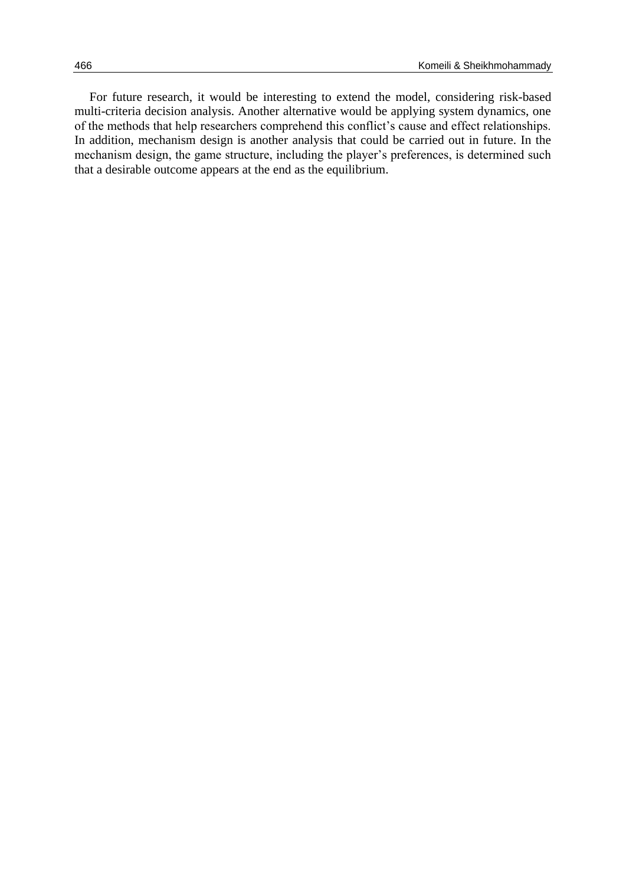For future research, it would be interesting to extend the model, considering risk-based multi-criteria decision analysis. Another alternative would be applying system dynamics, one of the methods that help researchers comprehend this conflict's cause and effect relationships. In addition, mechanism design is another analysis that could be carried out in future. In the mechanism design, the game structure, including the player's preferences, is determined such that a desirable outcome appears at the end as the equilibrium.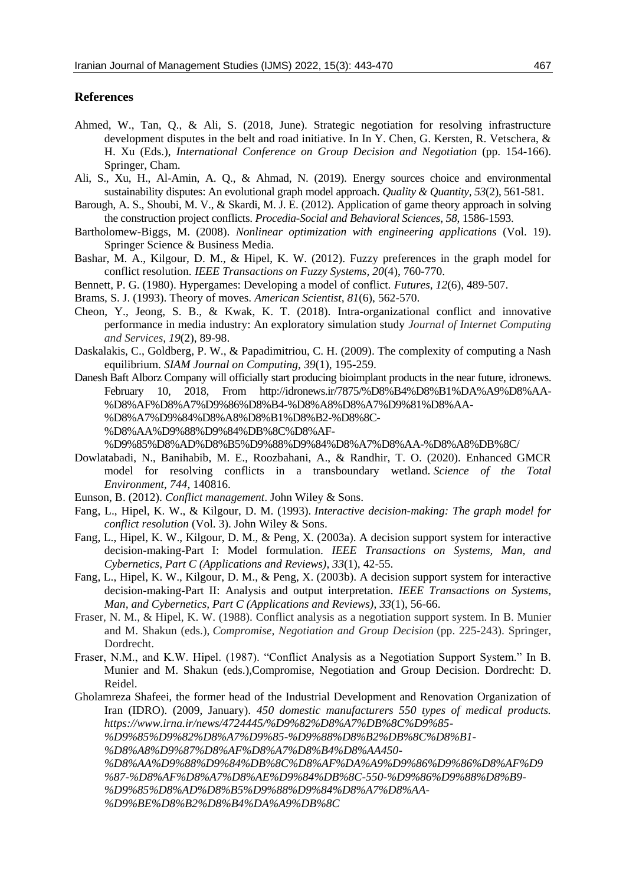### **References**

- Ahmed, W., Tan, Q., & Ali, S. (2018, June). Strategic negotiation for resolving infrastructure development disputes in the belt and road initiative. In In Y. Chen, G. Kersten, R. Vetschera, & H. Xu (Eds.), *International Conference on Group Decision and Negotiation* (pp. 154-166). Springer, Cham.
- Ali, S., Xu, H., Al-Amin, A. Q., & Ahmad, N. (2019). Energy sources choice and environmental sustainability disputes: An evolutional graph model approach. *Quality & Quantity, 53*(2), 561-581.
- Barough, A. S., Shoubi, M. V., & Skardi, M. J. E. (2012). Application of game theory approach in solving the construction project conflicts. *Procedia-Social and Behavioral Sciences*, *58*, 1586-1593.
- Bartholomew-Biggs, M. (2008). *Nonlinear optimization with engineering applications* (Vol. 19). Springer Science & Business Media.
- Bashar, M. A., Kilgour, D. M., & Hipel, K. W. (2012). Fuzzy preferences in the graph model for conflict resolution. *IEEE Transactions on Fuzzy Systems, 20*(4), 760-770.
- Bennett, P. G. (1980). Hypergames: Developing a model of conflict. *Futures, 12*(6), 489-507.
- Brams, S. J. (1993). Theory of moves. *American Scientist, 81*(6), 562-570.
- Cheon, Y., Jeong, S. B., & Kwak, K. T. (2018). Intra-organizational conflict and innovative performance in media industry: An exploratory simulation study *Journal of Internet Computing and Services, 19*(2), 89-98.
- Daskalakis, C., Goldberg, P. W., & Papadimitriou, C. H. (2009). The complexity of computing a Nash equilibrium. *SIAM Journal on Computing, 39*(1), 195-259.
- Danesh Baft Alborz Company will officially start producing bioimplant products in the near future, idronews. February 10, 2018, From http://idronews.ir/7875/%D8%B4%D8%B1%DA%A9%D8%AA- %D8%AF%D8%A7%D9%86%D8%B4-%D8%A8%D8%A7%D9%81%D8%AA- %D8%A7%D9%84%D8%A8%D8%B1%D8%B2-%D8%8C- %D8%AA%D9%88%D9%84%DB%8C%D8%AF-

%D9%85%D8%AD%D8%B5%D9%88%D9%84%D8%A7%D8%AA-%D8%A8%DB%8C/

- Dowlatabadi, N., Banihabib, M. E., Roozbahani, A., & Randhir, T. O. (2020). Enhanced GMCR model for resolving conflicts in a transboundary wetland. *Science of the Total Environment*, *744*, 140816.
- Eunson, B. (2012). *Conflict management*. John Wiley & Sons.
- Fang, L., Hipel, K. W., & Kilgour, D. M. (1993). *Interactive decision-making: The graph model for conflict resolution* (Vol. 3). John Wiley & Sons.
- Fang, L., Hipel, K. W., Kilgour, D. M., & Peng, X. (2003a). A decision support system for interactive decision-making-Part I: Model formulation. *IEEE Transactions on Systems, Man, and Cybernetics, Part C (Applications and Reviews)*, *33*(1), 42-55.
- Fang, L., Hipel, K. W., Kilgour, D. M., & Peng, X. (2003b). A decision support system for interactive decision-making-Part II: Analysis and output interpretation. *IEEE Transactions on Systems, Man, and Cybernetics, Part C (Applications and Reviews)*, *33*(1), 56-66.
- Fraser, N. M., & Hipel, K. W. (1988). Conflict analysis as a negotiation support system. In B. Munier and M. Shakun (eds.), *Compromise, Negotiation and Group Decision* (pp. 225-243). Springer, Dordrecht.
- Fraser, N.M., and K.W. Hipel. (1987). "Conflict Analysis as a Negotiation Support System." In B. Munier and M. Shakun (eds.),Compromise, Negotiation and Group Decision. Dordrecht: D. Reidel.

Gholamreza Shafeei, the former head of the Industrial Development and Renovation Organization of Iran (IDRO). (2009, January). *450 domestic manufacturers 550 types of medical products. https://www.irna.ir/news/4724445/%D9%82%D8%A7%DB%8C%D9%85- %D9%85%D9%82%D8%A7%D9%85-%D9%88%D8%B2%DB%8C%D8%B1- %D8%A8%D9%87%D8%AF%D8%A7%D8%B4%D8%AA450- %D8%AA%D9%88%D9%84%DB%8C%D8%AF%DA%A9%D9%86%D9%86%D8%AF%D9 %87-%D8%AF%D8%A7%D8%AE%D9%84%DB%8C-550-%D9%86%D9%88%D8%B9- %D9%85%D8%AD%D8%B5%D9%88%D9%84%D8%A7%D8%AA- %D9%BE%D8%B2%D8%B4%DA%A9%DB%8C*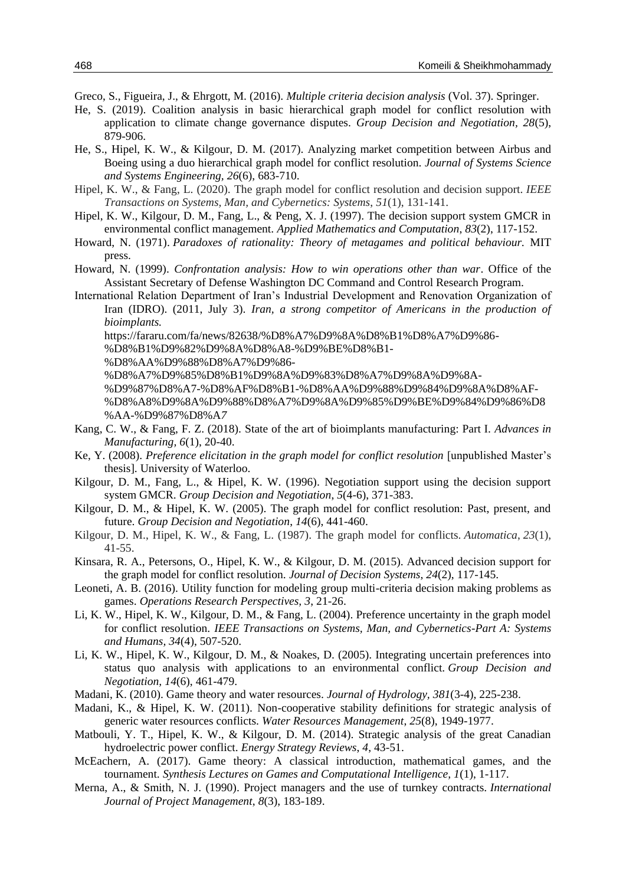- Greco, S., Figueira, J., & Ehrgott, M. (2016). *Multiple criteria decision analysis* (Vol. 37). Springer.
- He, S. (2019). Coalition analysis in basic hierarchical graph model for conflict resolution with application to climate change governance disputes. *Group Decision and Negotiation, 28*(5), 879-906.
- He, S., Hipel, K. W., & Kilgour, D. M. (2017). Analyzing market competition between Airbus and Boeing using a duo hierarchical graph model for conflict resolution. *Journal of Systems Science and Systems Engineering, 26*(6), 683-710.
- Hipel, K. W., & Fang, L. (2020). The graph model for conflict resolution and decision support. *IEEE Transactions on Systems, Man, and Cybernetics: Systems*, *51*(1), 131-141.
- Hipel, K. W., Kilgour, D. M., Fang, L., & Peng, X. J. (1997). The decision support system GMCR in environmental conflict management. *Applied Mathematics and Computation*, *83*(2), 117-152.
- Howard, N. (1971). *Paradoxes of rationality: Theory of metagames and political behaviour.* MIT press.
- Howard, N. (1999). *Confrontation analysis: How to win operations other than war*. Office of the Assistant Secretary of Defense Washington DC Command and Control Research Program.
- International Relation Department of Iran's Industrial Development and Renovation Organization of Iran (IDRO). (2011, July 3). *Iran, a strong competitor of Americans in the production of bioimplants.*

https://fararu.com/fa/news/82638/%D8%A7%D9%8A%D8%B1%D8%A7%D9%86-

%D8%B1%D9%82%D9%8A%D8%A8-%D9%BE%D8%B1-

%D8%AA%D9%88%D8%A7%D9%86-

%D8%A7%D9%85%D8%B1%D9%8A%D9%83%D8%A7%D9%8A%D9%8A-

%D9%87%D8%A7-%D8%AF%D8%B1-%D8%AA%D9%88%D9%84%D9%8A%D8%AF-

- %D8%A8%D9%8A%D9%88%D8%A7%D9%8A%D9%85%D9%BE%D9%84%D9%86%D8 %AA-%D9%87%D8%A*7*
- Kang, C. W., & Fang, F. Z. (2018). State of the art of bioimplants manufacturing: Part I. *Advances in Manufacturing, 6*(1), 20-40.
- Ke, Y. (2008). *Preference elicitation in the graph model for conflict resolution* [unpublished Master's thesis]. University of Waterloo.
- Kilgour, D. M., Fang, L., & Hipel, K. W. (1996). Negotiation support using the decision support system GMCR. *Group Decision and Negotiation*, *5*(4-6), 371-383.
- Kilgour, D. M., & Hipel, K. W. (2005). The graph model for conflict resolution: Past, present, and future. *Group Decision and Negotiation*, *14*(6), 441-460.
- Kilgour, D. M., Hipel, K. W., & Fang, L. (1987). The graph model for conflicts. *Automatica*, *23*(1), 41-55.
- Kinsara, R. A., Petersons, O., Hipel, K. W., & Kilgour, D. M. (2015). Advanced decision support for the graph model for conflict resolution. *Journal of Decision Systems*, *24*(2), 117-145.
- Leoneti, A. B. (2016). Utility function for modeling group multi-criteria decision making problems as games. *Operations Research Perspectives, 3*, 21-26.
- Li, K. W., Hipel, K. W., Kilgour, D. M., & Fang, L. (2004). Preference uncertainty in the graph model for conflict resolution. *IEEE Transactions on Systems, Man, and Cybernetics-Part A: Systems and Humans, 34*(4), 507-520.
- Li, K. W., Hipel, K. W., Kilgour, D. M., & Noakes, D. (2005). Integrating uncertain preferences into status quo analysis with applications to an environmental conflict. *Group Decision and Negotiation, 14*(6), 461-479.
- Madani, K. (2010). Game theory and water resources. *Journal of Hydrology, 381*(3-4), 225-238.
- Madani, K., & Hipel, K. W. (2011). Non-cooperative stability definitions for strategic analysis of generic water resources conflicts. *Water Resources Management*, *25*(8), 1949-1977.
- Matbouli, Y. T., Hipel, K. W., & Kilgour, D. M. (2014). Strategic analysis of the great Canadian hydroelectric power conflict. *Energy Strategy Reviews*, *4*, 43-51.
- McEachern, A. (2017). Game theory: A classical introduction, mathematical games, and the tournament. *Synthesis Lectures on Games and Computational Intelligence, 1*(1), 1-117.
- Merna, A., & Smith, N. J. (1990). Project managers and the use of turnkey contracts. *International Journal of Project Management*, *8*(3), 183-189.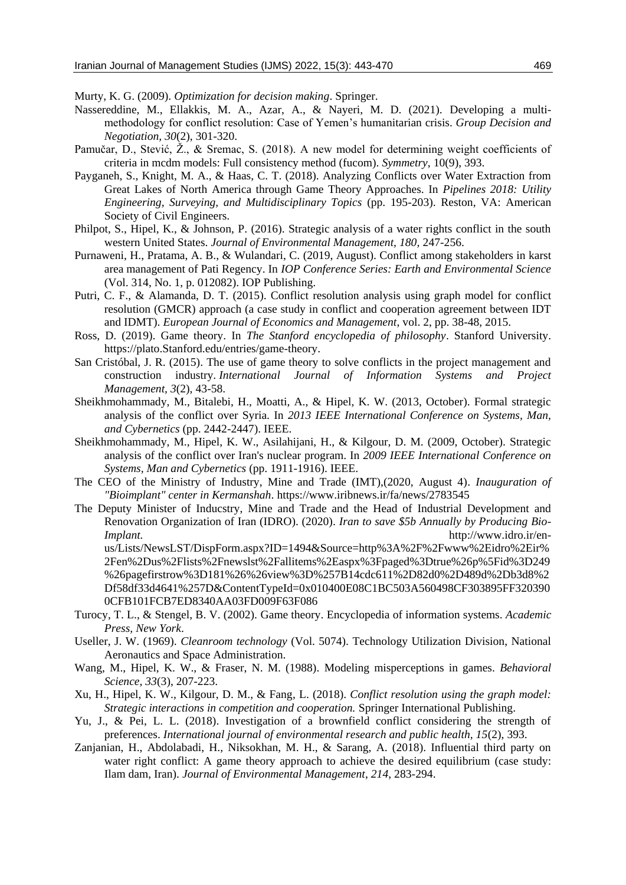Murty, K. G. (2009). *Optimization for decision making*. Springer.

- Nassereddine, M., Ellakkis, M. A., Azar, A., & Nayeri, M. D. (2021). Developing a multimethodology for conflict resolution: Case of Yemen's humanitarian crisis. *Group Decision and Negotiation, 30*(2), 301-320.
- Pamučar, D., Stević, Ž., & Sremac, S. (2018). A new model for determining weight coefficients of criteria in mcdm models: Full consistency method (fucom). *Symmetry*, 10(9), 393.
- Payganeh, S., Knight, M. A., & Haas, C. T. (2018). Analyzing Conflicts over Water Extraction from Great Lakes of North America through Game Theory Approaches. In *Pipelines 2018: Utility Engineering, Surveying, and Multidisciplinary Topics* (pp. 195-203). Reston, VA: American Society of Civil Engineers.
- Philpot, S., Hipel, K., & Johnson, P. (2016). Strategic analysis of a water rights conflict in the south western United States. *Journal of Environmental Management, 180,* 247-256.
- Purnaweni, H., Pratama, A. B., & Wulandari, C. (2019, August). Conflict among stakeholders in karst area management of Pati Regency. In *IOP Conference Series: Earth and Environmental Science* (Vol. 314, No. 1, p. 012082). IOP Publishing.
- Putri, C. F., & Alamanda, D. T. (2015). Conflict resolution analysis using graph model for conflict resolution (GMCR) approach (a case study in conflict and cooperation agreement between IDT and IDMT). *European Journal of Economics and Management*, vol. 2, pp. 38-48, 2015.
- Ross, D. (2019). Game theory. In *The Stanford encyclopedia of philosophy*. Stanford University. https://plato.Stanford.edu/entries/game-theory.
- San Cristóbal, J. R. (2015). The use of game theory to solve conflicts in the project management and construction industry. *International Journal of Information Systems and Project Management, 3*(2), 43-58.
- Sheikhmohammady, M., Bitalebi, H., Moatti, A., & Hipel, K. W. (2013, October). Formal strategic analysis of the conflict over Syria. In *2013 IEEE International Conference on Systems, Man, and Cybernetics* (pp. 2442-2447). IEEE.
- Sheikhmohammady, M., Hipel, K. W., Asilahijani, H., & Kilgour, D. M. (2009, October). Strategic analysis of the conflict over Iran's nuclear program. In *2009 IEEE International Conference on Systems, Man and Cybernetics* (pp. 1911-1916). IEEE.
- The CEO of the Ministry of Industry, Mine and Trade (IMT),(2020, August 4). *Inauguration of "Bioimplant" center in Kermanshah*. https://www.iribnews.ir/fa/news/2783545
- The Deputy Minister of Inducstry, Mine and Trade and the Head of Industrial Development and Renovation Organization of Iran (IDRO). (2020). *Iran to save \$5b Annually by Producing Bio-Implant.* http://www.idro.ir/enus/Lists/NewsLST/DispForm.aspx?ID=1494&Source=http%3A%2F%2Fwww%2Eidro%2Eir% 2Fen%2Dus%2Flists%2Fnewslst%2Fallitems%2Easpx%3Fpaged%3Dtrue%26p%5Fid%3D249

%26pagefirstrow%3D181%26%26view%3D%257B14cdc611%2D82d0%2D489d%2Db3d8%2 Df58df33d4641%257D&ContentTypeId=0x010400E08C1BC503A560498CF303895FF320390 0CFB101FCB7ED8340AA03FD009F63F086

- Turocy, T. L., & Stengel, B. V. (2002). Game theory. Encyclopedia of information systems. *Academic Press, New York*.
- Useller, J. W. (1969). *Cleanroom technology* (Vol. 5074). Technology Utilization Division, National Aeronautics and Space Administration.
- Wang, M., Hipel, K. W., & Fraser, N. M. (1988). Modeling misperceptions in games. *Behavioral Science, 33*(3), 207-223.
- Xu, H., Hipel, K. W., Kilgour, D. M., & Fang, L. (2018). *Conflict resolution using the graph model: Strategic interactions in competition and cooperation.* Springer International Publishing.
- Yu, J., & Pei, L. L. (2018). Investigation of a brownfield conflict considering the strength of preferences. *International journal of environmental research and public health, 15*(2), 393.
- Zanjanian, H., Abdolabadi, H., Niksokhan, M. H., & Sarang, A. (2018). Influential third party on water right conflict: A game theory approach to achieve the desired equilibrium (case study: Ilam dam, Iran). *Journal of Environmental Management*, *214*, 283-294.